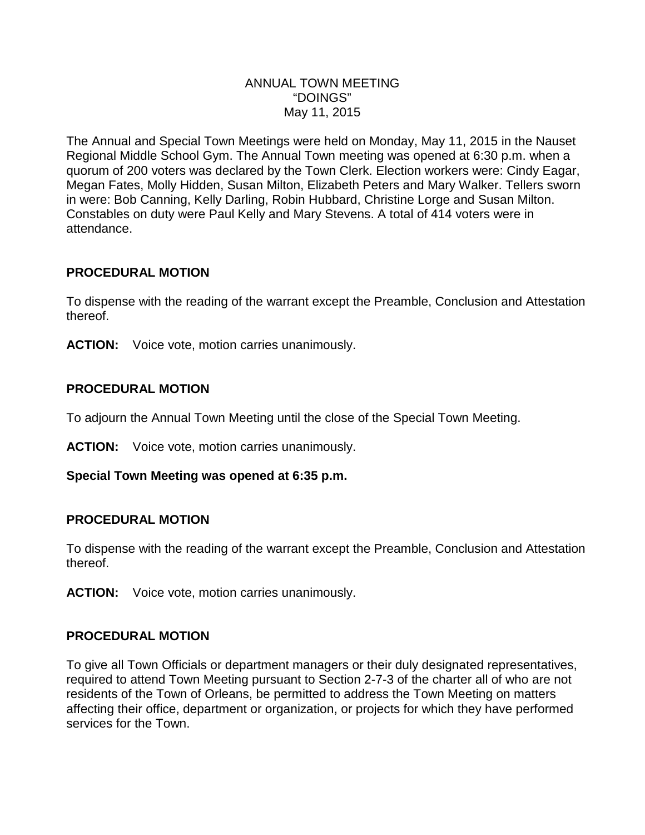### ANNUAL TOWN MEETING "DOINGS" May 11, 2015

The Annual and Special Town Meetings were held on Monday, May 11, 2015 in the Nauset Regional Middle School Gym. The Annual Town meeting was opened at 6:30 p.m. when a quorum of 200 voters was declared by the Town Clerk. Election workers were: Cindy Eagar, Megan Fates, Molly Hidden, Susan Milton, Elizabeth Peters and Mary Walker. Tellers sworn in were: Bob Canning, Kelly Darling, Robin Hubbard, Christine Lorge and Susan Milton. Constables on duty were Paul Kelly and Mary Stevens. A total of 414 voters were in attendance.

## **PROCEDURAL MOTION**

To dispense with the reading of the warrant except the Preamble, Conclusion and Attestation thereof.

**ACTION:** Voice vote, motion carries unanimously.

## **PROCEDURAL MOTION**

To adjourn the Annual Town Meeting until the close of the Special Town Meeting.

**ACTION:** Voice vote, motion carries unanimously.

## **Special Town Meeting was opened at 6:35 p.m.**

### **PROCEDURAL MOTION**

To dispense with the reading of the warrant except the Preamble, Conclusion and Attestation thereof.

**ACTION:** Voice vote, motion carries unanimously.

## **PROCEDURAL MOTION**

To give all Town Officials or department managers or their duly designated representatives, required to attend Town Meeting pursuant to Section 2-7-3 of the charter all of who are not residents of the Town of Orleans, be permitted to address the Town Meeting on matters affecting their office, department or organization, or projects for which they have performed services for the Town.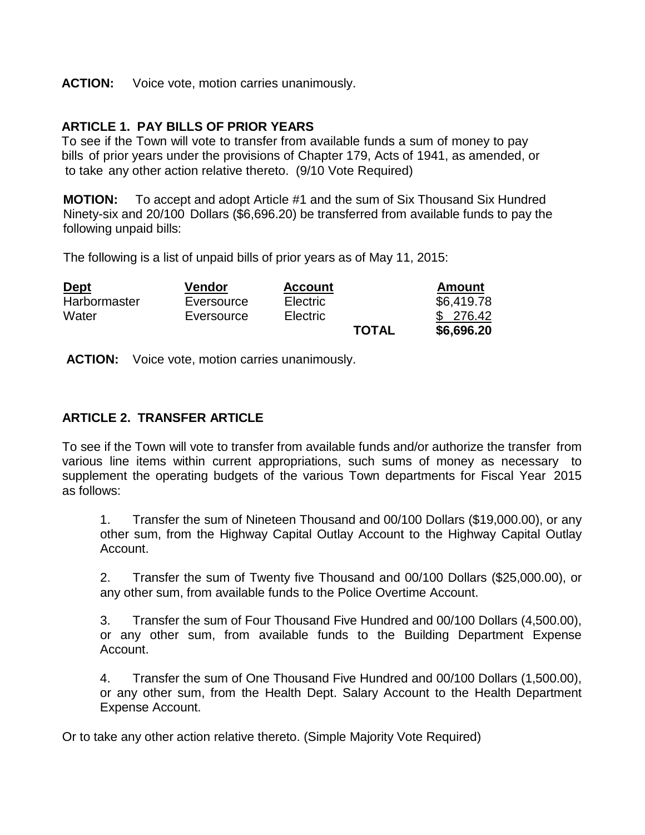#### **ACTION:** Voice vote, motion carries unanimously.

### **ARTICLE 1. PAY BILLS OF PRIOR YEARS**

To see if the Town will vote to transfer from available funds a sum of money to pay bills of prior years under the provisions of Chapter 179, Acts of 1941, as amended, or to take any other action relative thereto. (9/10 Vote Required)

**MOTION:** To accept and adopt Article #1 and the sum of Six Thousand Six Hundred Ninety-six and 20/100 Dollars (\$6,696.20) be transferred from available funds to pay the following unpaid bills:

The following is a list of unpaid bills of prior years as of May 11, 2015:

| <b>Dept</b>  | Vendor     | <b>Account</b>  |              | <b>Amount</b> |
|--------------|------------|-----------------|--------------|---------------|
| Harbormaster | Eversource | Electric        |              | \$6,419.78    |
| Water        | Eversource | <b>Electric</b> |              | \$ 276.42     |
|              |            |                 | <b>TOTAL</b> | \$6,696.20    |

**ACTION:** Voice vote, motion carries unanimously.

### **ARTICLE 2. TRANSFER ARTICLE**

To see if the Town will vote to transfer from available funds and/or authorize the transfer from various line items within current appropriations, such sums of money as necessary to supplement the operating budgets of the various Town departments for Fiscal Year 2015 as follows:

1. Transfer the sum of Nineteen Thousand and 00/100 Dollars (\$19,000.00), or any other sum, from the Highway Capital Outlay Account to the Highway Capital Outlay Account.

2. Transfer the sum of Twenty five Thousand and 00/100 Dollars (\$25,000.00), or any other sum, from available funds to the Police Overtime Account.

3. Transfer the sum of Four Thousand Five Hundred and 00/100 Dollars (4,500.00), or any other sum, from available funds to the Building Department Expense Account.

4. Transfer the sum of One Thousand Five Hundred and 00/100 Dollars (1,500.00), or any other sum, from the Health Dept. Salary Account to the Health Department Expense Account.

Or to take any other action relative thereto. (Simple Majority Vote Required)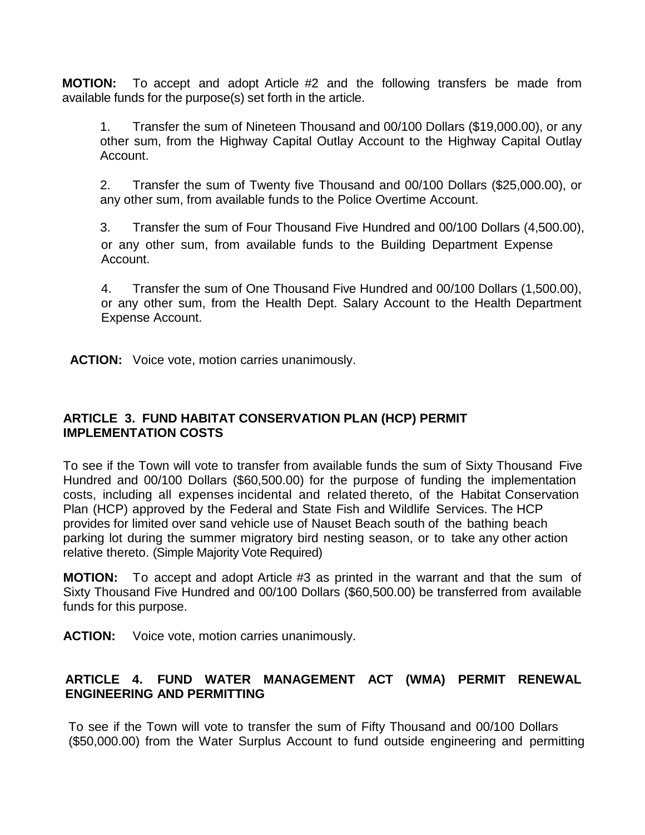**MOTION:** To accept and adopt Article #2 and the following transfers be made from available funds for the purpose(s) set forth in the article.

1. Transfer the sum of Nineteen Thousand and 00/100 Dollars (\$19,000.00), or any other sum, from the Highway Capital Outlay Account to the Highway Capital Outlay Account.

2. Transfer the sum of Twenty five Thousand and 00/100 Dollars (\$25,000.00), or any other sum, from available funds to the Police Overtime Account.

3. Transfer the sum of Four Thousand Five Hundred and 00/100 Dollars (4,500.00), or any other sum, from available funds to the Building Department Expense Account.

4. Transfer the sum of One Thousand Five Hundred and 00/100 Dollars (1,500.00), or any other sum, from the Health Dept. Salary Account to the Health Department Expense Account.

**ACTION:** Voice vote, motion carries unanimously.

## **ARTICLE 3. FUND HABITAT CONSERVATION PLAN (HCP) PERMIT IMPLEMENTATION COSTS**

To see if the Town will vote to transfer from available funds the sum of Sixty Thousand Five Hundred and 00/100 Dollars (\$60,500.00) for the purpose of funding the implementation costs, including all expenses incidental and related thereto, of the Habitat Conservation Plan (HCP) approved by the Federal and State Fish and Wildlife Services. The HCP provides for limited over sand vehicle use of Nauset Beach south of the bathing beach parking lot during the summer migratory bird nesting season, or to take any other action relative thereto. (Simple Majority Vote Required)

**MOTION:** To accept and adopt Article #3 as printed in the warrant and that the sum of Sixty Thousand Five Hundred and 00/100 Dollars (\$60,500.00) be transferred from available funds for this purpose.

**ACTION:** Voice vote, motion carries unanimously.

## **ARTICLE 4. FUND WATER MANAGEMENT ACT (WMA) PERMIT RENEWAL ENGINEERING AND PERMITTING**

To see if the Town will vote to transfer the sum of Fifty Thousand and 00/100 Dollars (\$50,000.00) from the Water Surplus Account to fund outside engineering and permitting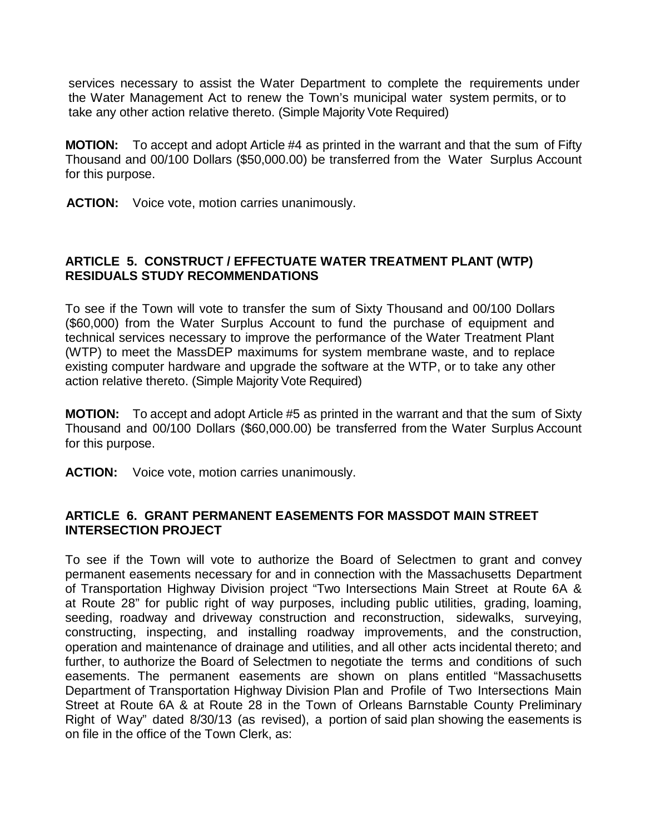services necessary to assist the Water Department to complete the requirements under the Water Management Act to renew the Town's municipal water system permits, or to take any other action relative thereto. (Simple Majority Vote Required)

**MOTION:** To accept and adopt Article #4 as printed in the warrant and that the sum of Fifty Thousand and 00/100 Dollars (\$50,000.00) be transferred from the Water Surplus Account for this purpose.

**ACTION:** Voice vote, motion carries unanimously.

## **ARTICLE 5. CONSTRUCT / EFFECTUATE WATER TREATMENT PLANT (WTP) RESIDUALS STUDY RECOMMENDATIONS**

To see if the Town will vote to transfer the sum of Sixty Thousand and 00/100 Dollars (\$60,000) from the Water Surplus Account to fund the purchase of equipment and technical services necessary to improve the performance of the Water Treatment Plant (WTP) to meet the MassDEP maximums for system membrane waste, and to replace existing computer hardware and upgrade the software at the WTP, or to take any other action relative thereto. (Simple Majority Vote Required)

**MOTION:** To accept and adopt Article #5 as printed in the warrant and that the sum of Sixty Thousand and 00/100 Dollars (\$60,000.00) be transferred from the Water Surplus Account for this purpose.

**ACTION:** Voice vote, motion carries unanimously.

### **ARTICLE 6. GRANT PERMANENT EASEMENTS FOR MASSDOT MAIN STREET INTERSECTION PROJECT**

To see if the Town will vote to authorize the Board of Selectmen to grant and convey permanent easements necessary for and in connection with the Massachusetts Department of Transportation Highway Division project "Two Intersections Main Street at Route 6A & at Route 28" for public right of way purposes, including public utilities, grading, loaming, seeding, roadway and driveway construction and reconstruction, sidewalks, surveying, constructing, inspecting, and installing roadway improvements, and the construction, operation and maintenance of drainage and utilities, and all other acts incidental thereto; and further, to authorize the Board of Selectmen to negotiate the terms and conditions of such easements. The permanent easements are shown on plans entitled "Massachusetts Department of Transportation Highway Division Plan and Profile of Two Intersections Main Street at Route 6A & at Route 28 in the Town of Orleans Barnstable County Preliminary Right of Way" dated 8/30/13 (as revised), a portion of said plan showing the easements is on file in the office of the Town Clerk, as: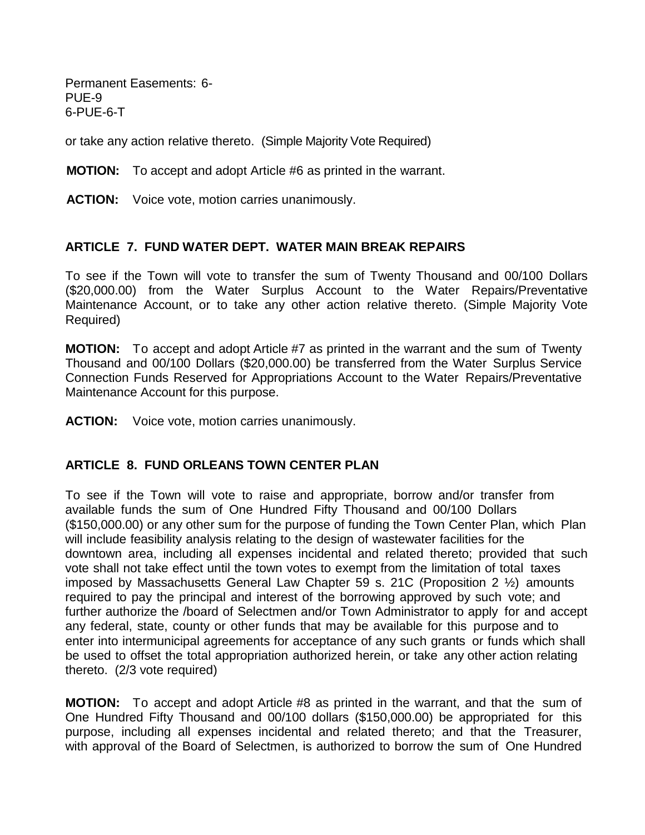Permanent Easements: 6- PUE-9 6-PUE-6-T

or take any action relative thereto. (Simple Majority Vote Required)

**MOTION:** To accept and adopt Article #6 as printed in the warrant.

**ACTION:** Voice vote, motion carries unanimously.

#### **ARTICLE 7. FUND WATER DEPT. WATER MAIN BREAK REPAIRS**

To see if the Town will vote to transfer the sum of Twenty Thousand and 00/100 Dollars (\$20,000.00) from the Water Surplus Account to the Water Repairs/Preventative Maintenance Account, or to take any other action relative thereto. (Simple Majority Vote Required)

**MOTION:** To accept and adopt Article #7 as printed in the warrant and the sum of Twenty Thousand and 00/100 Dollars (\$20,000.00) be transferred from the Water Surplus Service Connection Funds Reserved for Appropriations Account to the Water Repairs/Preventative Maintenance Account for this purpose.

**ACTION:** Voice vote, motion carries unanimously.

### **ARTICLE 8. FUND ORLEANS TOWN CENTER PLAN**

To see if the Town will vote to raise and appropriate, borrow and/or transfer from available funds the sum of One Hundred Fifty Thousand and 00/100 Dollars (\$150,000.00) or any other sum for the purpose of funding the Town Center Plan, which Plan will include feasibility analysis relating to the design of wastewater facilities for the downtown area, including all expenses incidental and related thereto; provided that such vote shall not take effect until the town votes to exempt from the limitation of total taxes imposed by Massachusetts General Law Chapter 59 s. 21C (Proposition 2 ½) amounts required to pay the principal and interest of the borrowing approved by such vote; and further authorize the /board of Selectmen and/or Town Administrator to apply for and accept any federal, state, county or other funds that may be available for this purpose and to enter into intermunicipal agreements for acceptance of any such grants or funds which shall be used to offset the total appropriation authorized herein, or take any other action relating thereto. (2/3 vote required)

**MOTION:** To accept and adopt Article #8 as printed in the warrant, and that the sum of One Hundred Fifty Thousand and 00/100 dollars (\$150,000.00) be appropriated for this purpose, including all expenses incidental and related thereto; and that the Treasurer, with approval of the Board of Selectmen, is authorized to borrow the sum of One Hundred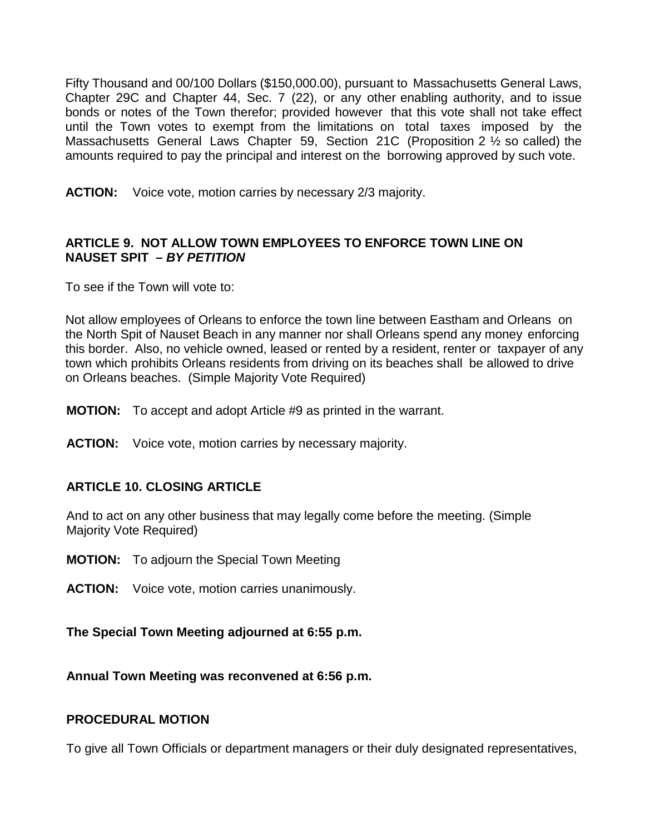Fifty Thousand and 00/100 Dollars (\$150,000.00), pursuant to Massachusetts General Laws, Chapter 29C and Chapter 44, Sec. 7 (22), or any other enabling authority, and to issue bonds or notes of the Town therefor; provided however that this vote shall not take effect until the Town votes to exempt from the limitations on total taxes imposed by the Massachusetts General Laws Chapter 59, Section 21C (Proposition 2 ½ so called) the amounts required to pay the principal and interest on the borrowing approved by such vote.

**ACTION:** Voice vote, motion carries by necessary 2/3 majority.

### **ARTICLE 9. NOT ALLOW TOWN EMPLOYEES TO ENFORCE TOWN LINE ON NAUSET SPIT –** *BY PETITION*

To see if the Town will vote to:

Not allow employees of Orleans to enforce the town line between Eastham and Orleans on the North Spit of Nauset Beach in any manner nor shall Orleans spend any money enforcing this border. Also, no vehicle owned, leased or rented by a resident, renter or taxpayer of any town which prohibits Orleans residents from driving on its beaches shall be allowed to drive on Orleans beaches. (Simple Majority Vote Required)

**MOTION:** To accept and adopt Article #9 as printed in the warrant.

**ACTION:** Voice vote, motion carries by necessary majority.

### **ARTICLE 10. CLOSING ARTICLE**

And to act on any other business that may legally come before the meeting. (Simple Majority Vote Required)

- **MOTION:** To adjourn the Special Town Meeting
- **ACTION:** Voice vote, motion carries unanimously.

**The Special Town Meeting adjourned at 6:55 p.m.**

**Annual Town Meeting was reconvened at 6:56 p.m.**

### **PROCEDURAL MOTION**

To give all Town Officials or department managers or their duly designated representatives,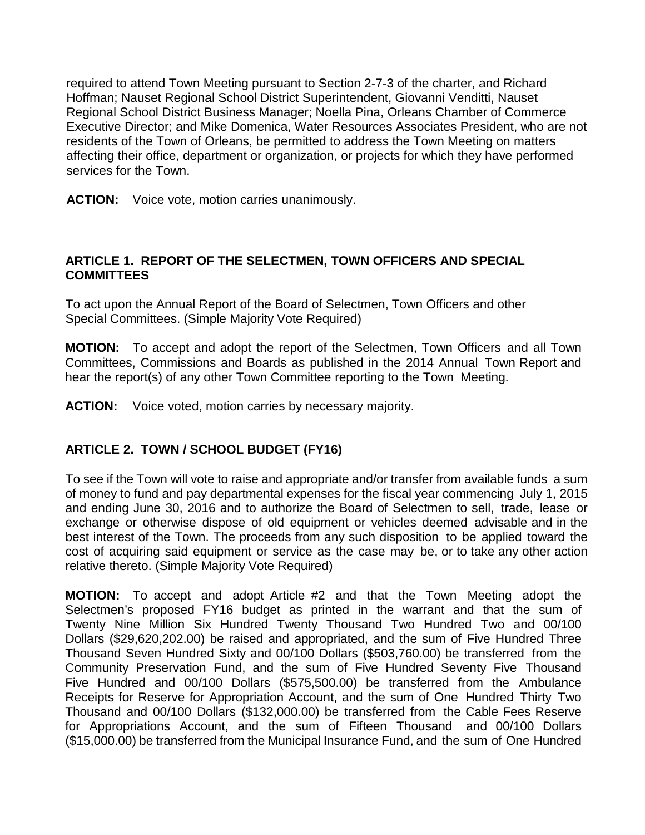required to attend Town Meeting pursuant to Section 2-7-3 of the charter, and Richard Hoffman; Nauset Regional School District Superintendent, Giovanni Venditti, Nauset Regional School District Business Manager; Noella Pina, Orleans Chamber of Commerce Executive Director; and Mike Domenica, Water Resources Associates President, who are not residents of the Town of Orleans, be permitted to address the Town Meeting on matters affecting their office, department or organization, or projects for which they have performed services for the Town.

**ACTION:** Voice vote, motion carries unanimously.

## **ARTICLE 1. REPORT OF THE SELECTMEN, TOWN OFFICERS AND SPECIAL COMMITTEES**

To act upon the Annual Report of the Board of Selectmen, Town Officers and other Special Committees. (Simple Majority Vote Required)

**MOTION:** To accept and adopt the report of the Selectmen, Town Officers and all Town Committees, Commissions and Boards as published in the 2014 Annual Town Report and hear the report(s) of any other Town Committee reporting to the Town Meeting.

**ACTION:** Voice voted, motion carries by necessary majority.

# **ARTICLE 2. TOWN / SCHOOL BUDGET (FY16)**

To see if the Town will vote to raise and appropriate and/or transfer from available funds a sum of money to fund and pay departmental expenses for the fiscal year commencing July 1, 2015 and ending June 30, 2016 and to authorize the Board of Selectmen to sell, trade, lease or exchange or otherwise dispose of old equipment or vehicles deemed advisable and in the best interest of the Town. The proceeds from any such disposition to be applied toward the cost of acquiring said equipment or service as the case may be, or to take any other action relative thereto. (Simple Majority Vote Required)

**MOTION:** To accept and adopt Article #2 and that the Town Meeting adopt the Selectmen's proposed FY16 budget as printed in the warrant and that the sum of Twenty Nine Million Six Hundred Twenty Thousand Two Hundred Two and 00/100 Dollars (\$29,620,202.00) be raised and appropriated, and the sum of Five Hundred Three Thousand Seven Hundred Sixty and 00/100 Dollars (\$503,760.00) be transferred from the Community Preservation Fund, and the sum of Five Hundred Seventy Five Thousand Five Hundred and 00/100 Dollars (\$575,500.00) be transferred from the Ambulance Receipts for Reserve for Appropriation Account, and the sum of One Hundred Thirty Two Thousand and 00/100 Dollars (\$132,000.00) be transferred from the Cable Fees Reserve for Appropriations Account, and the sum of Fifteen Thousand and 00/100 Dollars (\$15,000.00) be transferred from the Municipal Insurance Fund, and the sum of One Hundred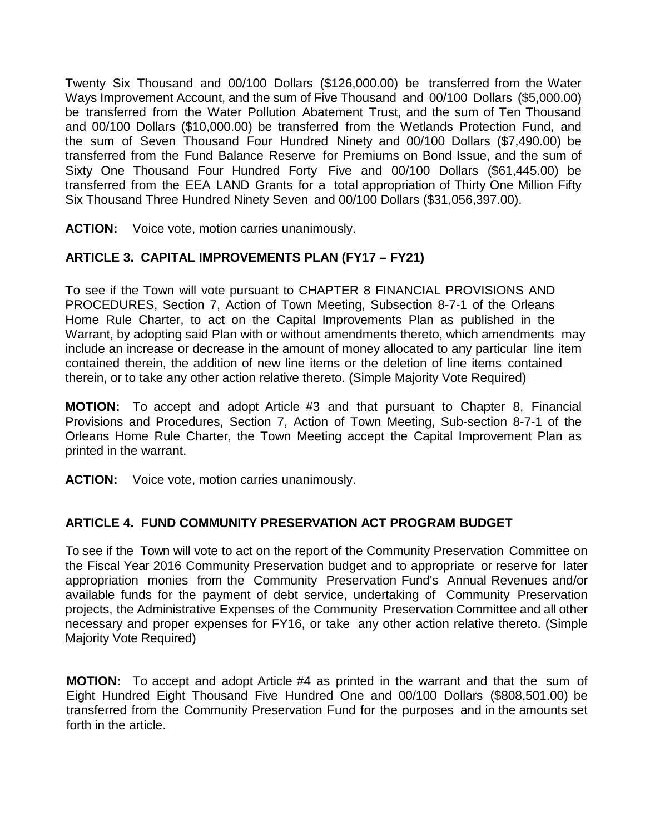Twenty Six Thousand and 00/100 Dollars (\$126,000.00) be transferred from the Water Ways Improvement Account, and the sum of Five Thousand and 00/100 Dollars (\$5,000.00) be transferred from the Water Pollution Abatement Trust, and the sum of Ten Thousand and 00/100 Dollars (\$10,000.00) be transferred from the Wetlands Protection Fund, and the sum of Seven Thousand Four Hundred Ninety and 00/100 Dollars (\$7,490.00) be transferred from the Fund Balance Reserve for Premiums on Bond Issue, and the sum of Sixty One Thousand Four Hundred Forty Five and 00/100 Dollars (\$61,445.00) be transferred from the EEA LAND Grants for a total appropriation of Thirty One Million Fifty Six Thousand Three Hundred Ninety Seven and 00/100 Dollars (\$31,056,397.00).

**ACTION:** Voice vote, motion carries unanimously.

## **ARTICLE 3. CAPITAL IMPROVEMENTS PLAN (FY17 – FY21)**

To see if the Town will vote pursuant to CHAPTER 8 FINANCIAL PROVISIONS AND PROCEDURES, Section 7, Action of Town Meeting, Subsection 8-7-1 of the Orleans Home Rule Charter, to act on the Capital Improvements Plan as published in the Warrant, by adopting said Plan with or without amendments thereto, which amendments may include an increase or decrease in the amount of money allocated to any particular line item contained therein, the addition of new line items or the deletion of line items contained therein, or to take any other action relative thereto. (Simple Majority Vote Required)

**MOTION:** To accept and adopt Article #3 and that pursuant to Chapter 8, Financial Provisions and Procedures, Section 7, Action of Town Meeting, Sub-section 8-7-1 of the Orleans Home Rule Charter, the Town Meeting accept the Capital Improvement Plan as printed in the warrant.

**ACTION:** Voice vote, motion carries unanimously.

### **ARTICLE 4. FUND COMMUNITY PRESERVATION ACT PROGRAM BUDGET**

To see if the Town will vote to act on the report of the Community Preservation Committee on the Fiscal Year 2016 Community Preservation budget and to appropriate or reserve for later appropriation monies from the Community Preservation Fund's Annual Revenues and/or available funds for the payment of debt service, undertaking of Community Preservation projects, the Administrative Expenses of the Community Preservation Committee and all other necessary and proper expenses for FY16, or take any other action relative thereto. (Simple Majority Vote Required)

**MOTION:** To accept and adopt Article #4 as printed in the warrant and that the sum of Eight Hundred Eight Thousand Five Hundred One and 00/100 Dollars (\$808,501.00) be transferred from the Community Preservation Fund for the purposes and in the amounts set forth in the article.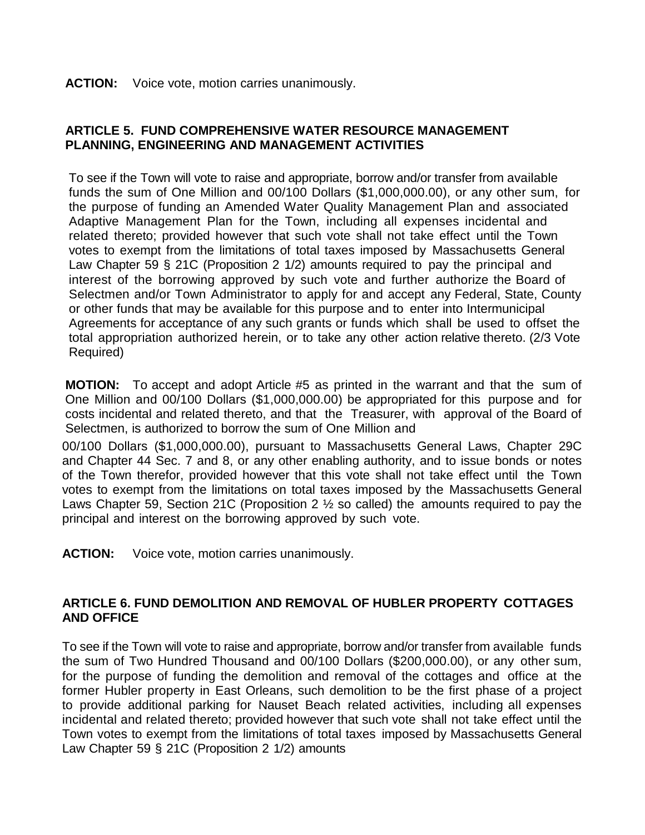#### **ACTION:** Voice vote, motion carries unanimously.

### **ARTICLE 5. FUND COMPREHENSIVE WATER RESOURCE MANAGEMENT PLANNING, ENGINEERING AND MANAGEMENT ACTIVITIES**

To see if the Town will vote to raise and appropriate, borrow and/or transfer from available funds the sum of One Million and 00/100 Dollars (\$1,000,000.00), or any other sum, for the purpose of funding an Amended Water Quality Management Plan and associated Adaptive Management Plan for the Town, including all expenses incidental and related thereto; provided however that such vote shall not take effect until the Town votes to exempt from the limitations of total taxes imposed by Massachusetts General Law Chapter 59 § 21C (Proposition 2 1/2) amounts required to pay the principal and interest of the borrowing approved by such vote and further authorize the Board of Selectmen and/or Town Administrator to apply for and accept any Federal, State, County or other funds that may be available for this purpose and to enter into Intermunicipal Agreements for acceptance of any such grants or funds which shall be used to offset the total appropriation authorized herein, or to take any other action relative thereto. (2/3 Vote Required)

**MOTION:** To accept and adopt Article #5 as printed in the warrant and that the sum of One Million and 00/100 Dollars (\$1,000,000.00) be appropriated for this purpose and for costs incidental and related thereto, and that the Treasurer, with approval of the Board of Selectmen, is authorized to borrow the sum of One Million and

00/100 Dollars (\$1,000,000.00), pursuant to Massachusetts General Laws, Chapter 29C and Chapter 44 Sec. 7 and 8, or any other enabling authority, and to issue bonds or notes of the Town therefor, provided however that this vote shall not take effect until the Town votes to exempt from the limitations on total taxes imposed by the Massachusetts General Laws Chapter 59, Section 21C (Proposition 2 ½ so called) the amounts required to pay the principal and interest on the borrowing approved by such vote.

**ACTION:** Voice vote, motion carries unanimously.

## **ARTICLE 6. FUND DEMOLITION AND REMOVAL OF HUBLER PROPERTY COTTAGES AND OFFICE**

To see if the Town will vote to raise and appropriate, borrow and/or transfer from available funds the sum of Two Hundred Thousand and 00/100 Dollars (\$200,000.00), or any other sum, for the purpose of funding the demolition and removal of the cottages and office at the former Hubler property in East Orleans, such demolition to be the first phase of a project to provide additional parking for Nauset Beach related activities, including all expenses incidental and related thereto; provided however that such vote shall not take effect until the Town votes to exempt from the limitations of total taxes imposed by Massachusetts General Law Chapter 59 § 21C (Proposition 2 1/2) amounts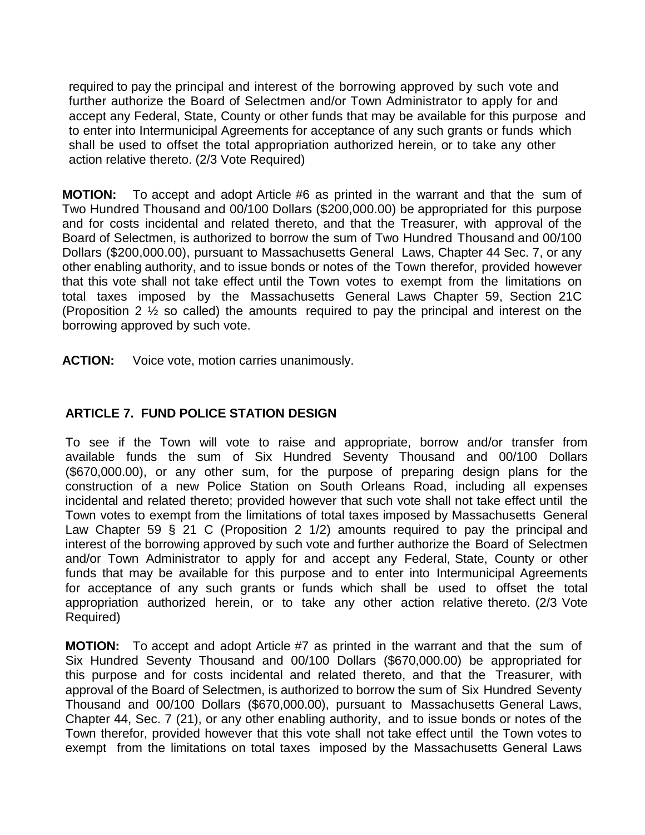required to pay the principal and interest of the borrowing approved by such vote and further authorize the Board of Selectmen and/or Town Administrator to apply for and accept any Federal, State, County or other funds that may be available for this purpose and to enter into Intermunicipal Agreements for acceptance of any such grants or funds which shall be used to offset the total appropriation authorized herein, or to take any other action relative thereto. (2/3 Vote Required)

**MOTION:** To accept and adopt Article #6 as printed in the warrant and that the sum of Two Hundred Thousand and 00/100 Dollars (\$200,000.00) be appropriated for this purpose and for costs incidental and related thereto, and that the Treasurer, with approval of the Board of Selectmen, is authorized to borrow the sum of Two Hundred Thousand and 00/100 Dollars (\$200,000.00), pursuant to Massachusetts General Laws, Chapter 44 Sec. 7, or any other enabling authority, and to issue bonds or notes of the Town therefor, provided however that this vote shall not take effect until the Town votes to exempt from the limitations on total taxes imposed by the Massachusetts General Laws Chapter 59, Section 21C (Proposition 2 ½ so called) the amounts required to pay the principal and interest on the borrowing approved by such vote.

ACTION: Voice vote, motion carries unanimously.

## **ARTICLE 7. FUND POLICE STATION DESIGN**

To see if the Town will vote to raise and appropriate, borrow and/or transfer from available funds the sum of Six Hundred Seventy Thousand and 00/100 Dollars (\$670,000.00), or any other sum, for the purpose of preparing design plans for the construction of a new Police Station on South Orleans Road, including all expenses incidental and related thereto; provided however that such vote shall not take effect until the Town votes to exempt from the limitations of total taxes imposed by Massachusetts General Law Chapter 59 § 21 C (Proposition 2 1/2) amounts required to pay the principal and interest of the borrowing approved by such vote and further authorize the Board of Selectmen and/or Town Administrator to apply for and accept any Federal, State, County or other funds that may be available for this purpose and to enter into Intermunicipal Agreements for acceptance of any such grants or funds which shall be used to offset the total appropriation authorized herein, or to take any other action relative thereto. (2/3 Vote Required)

**MOTION:** To accept and adopt Article #7 as printed in the warrant and that the sum of Six Hundred Seventy Thousand and 00/100 Dollars (\$670,000.00) be appropriated for this purpose and for costs incidental and related thereto, and that the Treasurer, with approval of the Board of Selectmen, is authorized to borrow the sum of Six Hundred Seventy Thousand and 00/100 Dollars (\$670,000.00), pursuant to Massachusetts General Laws, Chapter 44, Sec. 7 (21), or any other enabling authority, and to issue bonds or notes of the Town therefor, provided however that this vote shall not take effect until the Town votes to exempt from the limitations on total taxes imposed by the Massachusetts General Laws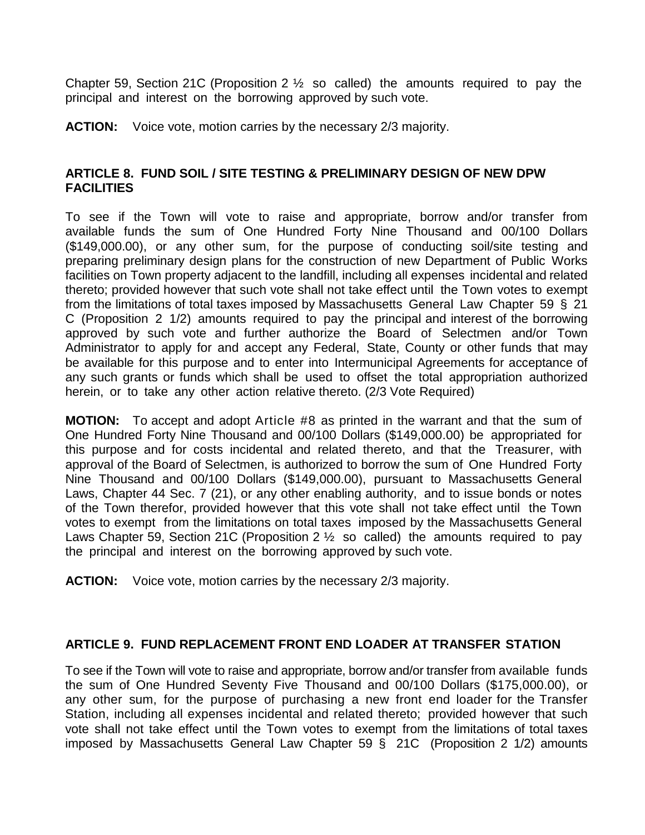Chapter 59, Section 21C (Proposition 2  $\frac{1}{2}$  so called) the amounts required to pay the principal and interest on the borrowing approved by such vote.

**ACTION:** Voice vote, motion carries by the necessary 2/3 majority.

### **ARTICLE 8. FUND SOIL / SITE TESTING & PRELIMINARY DESIGN OF NEW DPW FACILITIES**

To see if the Town will vote to raise and appropriate, borrow and/or transfer from available funds the sum of One Hundred Forty Nine Thousand and 00/100 Dollars (\$149,000.00), or any other sum, for the purpose of conducting soil/site testing and preparing preliminary design plans for the construction of new Department of Public Works facilities on Town property adjacent to the landfill, including all expenses incidental and related thereto; provided however that such vote shall not take effect until the Town votes to exempt from the limitations of total taxes imposed by Massachusetts General Law Chapter 59 § 21 C (Proposition 2 1/2) amounts required to pay the principal and interest of the borrowing approved by such vote and further authorize the Board of Selectmen and/or Town Administrator to apply for and accept any Federal, State, County or other funds that may be available for this purpose and to enter into Intermunicipal Agreements for acceptance of any such grants or funds which shall be used to offset the total appropriation authorized herein, or to take any other action relative thereto. (2/3 Vote Required)

**MOTION:** To accept and adopt Article #8 as printed in the warrant and that the sum of One Hundred Forty Nine Thousand and 00/100 Dollars (\$149,000.00) be appropriated for this purpose and for costs incidental and related thereto, and that the Treasurer, with approval of the Board of Selectmen, is authorized to borrow the sum of One Hundred Forty Nine Thousand and 00/100 Dollars (\$149,000.00), pursuant to Massachusetts General Laws, Chapter 44 Sec. 7 (21), or any other enabling authority, and to issue bonds or notes of the Town therefor, provided however that this vote shall not take effect until the Town votes to exempt from the limitations on total taxes imposed by the Massachusetts General Laws Chapter 59, Section 21C (Proposition 2  $\frac{1}{2}$  so called) the amounts required to pay the principal and interest on the borrowing approved by such vote.

**ACTION:** Voice vote, motion carries by the necessary 2/3 majority.

### **ARTICLE 9. FUND REPLACEMENT FRONT END LOADER AT TRANSFER STATION**

To see if the Town will vote to raise and appropriate, borrow and/or transfer from available funds the sum of One Hundred Seventy Five Thousand and 00/100 Dollars (\$175,000.00), or any other sum, for the purpose of purchasing a new front end loader for the Transfer Station, including all expenses incidental and related thereto; provided however that such vote shall not take effect until the Town votes to exempt from the limitations of total taxes imposed by Massachusetts General Law Chapter 59 § 21C (Proposition 2 1/2) amounts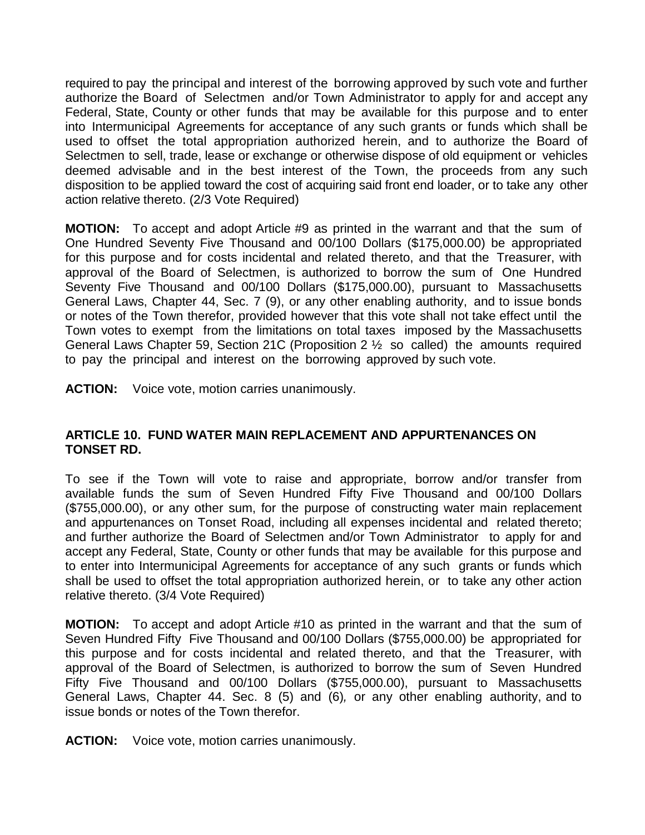required to pay the principal and interest of the borrowing approved by such vote and further authorize the Board of Selectmen and/or Town Administrator to apply for and accept any Federal, State, County or other funds that may be available for this purpose and to enter into Intermunicipal Agreements for acceptance of any such grants or funds which shall be used to offset the total appropriation authorized herein, and to authorize the Board of Selectmen to sell, trade, lease or exchange or otherwise dispose of old equipment or vehicles deemed advisable and in the best interest of the Town, the proceeds from any such disposition to be applied toward the cost of acquiring said front end loader, or to take any other action relative thereto. (2/3 Vote Required)

**MOTION:** To accept and adopt Article #9 as printed in the warrant and that the sum of One Hundred Seventy Five Thousand and 00/100 Dollars (\$175,000.00) be appropriated for this purpose and for costs incidental and related thereto, and that the Treasurer, with approval of the Board of Selectmen, is authorized to borrow the sum of One Hundred Seventy Five Thousand and 00/100 Dollars (\$175,000.00), pursuant to Massachusetts General Laws, Chapter 44, Sec. 7 (9), or any other enabling authority, and to issue bonds or notes of the Town therefor, provided however that this vote shall not take effect until the Town votes to exempt from the limitations on total taxes imposed by the Massachusetts General Laws Chapter 59, Section 21C (Proposition 2 ½ so called) the amounts required to pay the principal and interest on the borrowing approved by such vote.

**ACTION:** Voice vote, motion carries unanimously.

## **ARTICLE 10. FUND WATER MAIN REPLACEMENT AND APPURTENANCES ON TONSET RD.**

To see if the Town will vote to raise and appropriate, borrow and/or transfer from available funds the sum of Seven Hundred Fifty Five Thousand and 00/100 Dollars (\$755,000.00), or any other sum, for the purpose of constructing water main replacement and appurtenances on Tonset Road, including all expenses incidental and related thereto; and further authorize the Board of Selectmen and/or Town Administrator to apply for and accept any Federal, State, County or other funds that may be available for this purpose and to enter into Intermunicipal Agreements for acceptance of any such grants or funds which shall be used to offset the total appropriation authorized herein, or to take any other action relative thereto. (3/4 Vote Required)

**MOTION:** To accept and adopt Article #10 as printed in the warrant and that the sum of Seven Hundred Fifty Five Thousand and 00/100 Dollars (\$755,000.00) be appropriated for this purpose and for costs incidental and related thereto, and that the Treasurer, with approval of the Board of Selectmen, is authorized to borrow the sum of Seven Hundred Fifty Five Thousand and 00/100 Dollars (\$755,000.00), pursuant to Massachusetts General Laws, Chapter 44. Sec. 8 (5) and (6)*,* or any other enabling authority, and to issue bonds or notes of the Town therefor.

**ACTION:** Voice vote, motion carries unanimously.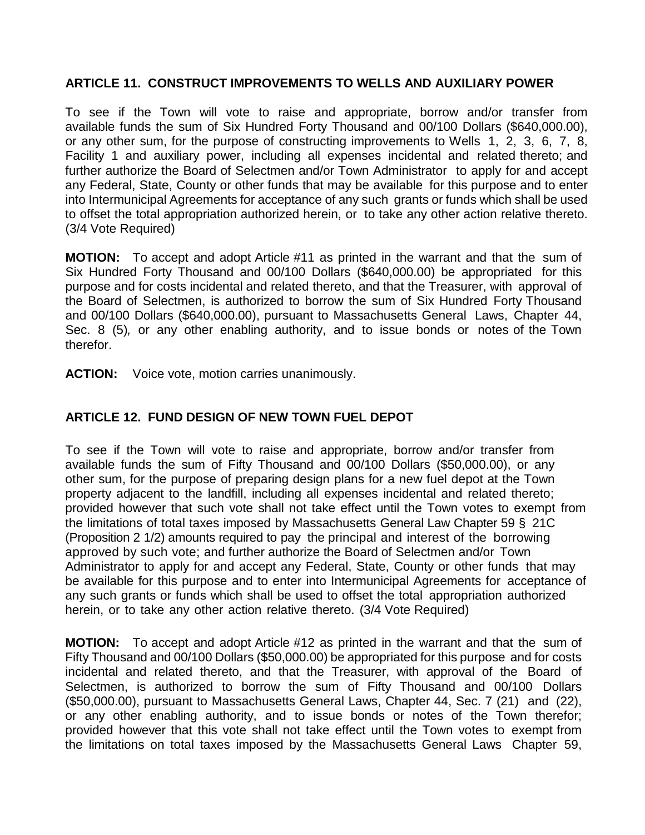### **ARTICLE 11. CONSTRUCT IMPROVEMENTS TO WELLS AND AUXILIARY POWER**

To see if the Town will vote to raise and appropriate, borrow and/or transfer from available funds the sum of Six Hundred Forty Thousand and 00/100 Dollars (\$640,000.00), or any other sum, for the purpose of constructing improvements to Wells 1, 2, 3, 6, 7, 8, Facility 1 and auxiliary power, including all expenses incidental and related thereto; and further authorize the Board of Selectmen and/or Town Administrator to apply for and accept any Federal, State, County or other funds that may be available for this purpose and to enter into Intermunicipal Agreements for acceptance of any such grants or funds which shall be used to offset the total appropriation authorized herein, or to take any other action relative thereto. (3/4 Vote Required)

**MOTION:** To accept and adopt Article #11 as printed in the warrant and that the sum of Six Hundred Forty Thousand and 00/100 Dollars (\$640,000.00) be appropriated for this purpose and for costs incidental and related thereto, and that the Treasurer, with approval of the Board of Selectmen, is authorized to borrow the sum of Six Hundred Forty Thousand and 00/100 Dollars (\$640,000.00), pursuant to Massachusetts General Laws, Chapter 44, Sec. 8 (5)*,* or any other enabling authority, and to issue bonds or notes of the Town therefor.

**ACTION:** Voice vote, motion carries unanimously.

# **ARTICLE 12. FUND DESIGN OF NEW TOWN FUEL DEPOT**

To see if the Town will vote to raise and appropriate, borrow and/or transfer from available funds the sum of Fifty Thousand and 00/100 Dollars (\$50,000.00), or any other sum, for the purpose of preparing design plans for a new fuel depot at the Town property adjacent to the landfill, including all expenses incidental and related thereto; provided however that such vote shall not take effect until the Town votes to exempt from the limitations of total taxes imposed by Massachusetts General Law Chapter 59 § 21C (Proposition 2 1/2) amounts required to pay the principal and interest of the borrowing approved by such vote; and further authorize the Board of Selectmen and/or Town Administrator to apply for and accept any Federal, State, County or other funds that may be available for this purpose and to enter into Intermunicipal Agreements for acceptance of any such grants or funds which shall be used to offset the total appropriation authorized herein, or to take any other action relative thereto. (3/4 Vote Required)

**MOTION:** To accept and adopt Article #12 as printed in the warrant and that the sum of Fifty Thousand and 00/100 Dollars (\$50,000.00) be appropriated for this purpose and for costs incidental and related thereto, and that the Treasurer, with approval of the Board of Selectmen, is authorized to borrow the sum of Fifty Thousand and 00/100 Dollars (\$50,000.00), pursuant to Massachusetts General Laws, Chapter 44, Sec. 7 (21) and (22), or any other enabling authority, and to issue bonds or notes of the Town therefor; provided however that this vote shall not take effect until the Town votes to exempt from the limitations on total taxes imposed by the Massachusetts General Laws Chapter 59,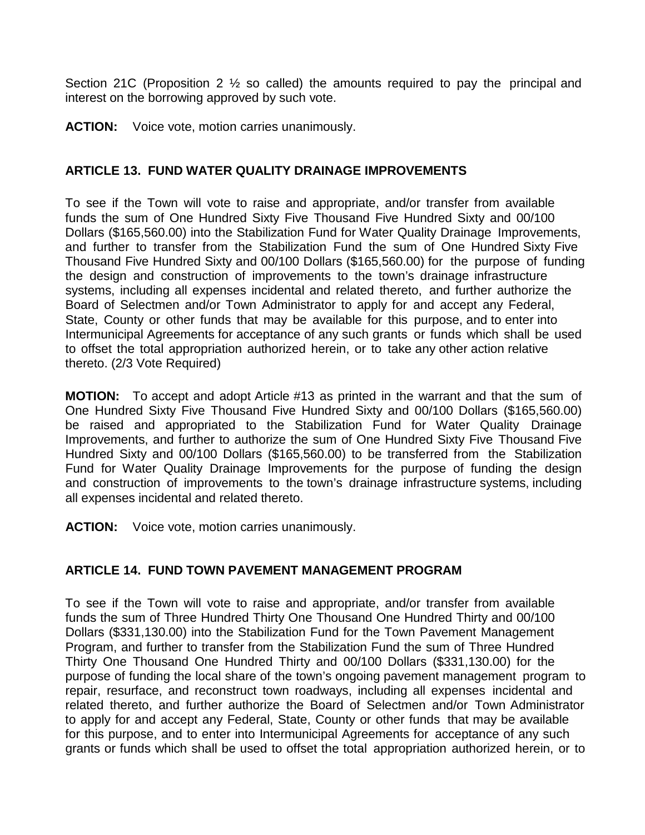Section 21C (Proposition 2 ½ so called) the amounts required to pay the principal and interest on the borrowing approved by such vote.

**ACTION:** Voice vote, motion carries unanimously.

### **ARTICLE 13. FUND WATER QUALITY DRAINAGE IMPROVEMENTS**

To see if the Town will vote to raise and appropriate, and/or transfer from available funds the sum of One Hundred Sixty Five Thousand Five Hundred Sixty and 00/100 Dollars (\$165,560.00) into the Stabilization Fund for Water Quality Drainage Improvements, and further to transfer from the Stabilization Fund the sum of One Hundred Sixty Five Thousand Five Hundred Sixty and 00/100 Dollars (\$165,560.00) for the purpose of funding the design and construction of improvements to the town's drainage infrastructure systems, including all expenses incidental and related thereto, and further authorize the Board of Selectmen and/or Town Administrator to apply for and accept any Federal, State, County or other funds that may be available for this purpose, and to enter into Intermunicipal Agreements for acceptance of any such grants or funds which shall be used to offset the total appropriation authorized herein, or to take any other action relative thereto. (2/3 Vote Required)

**MOTION:** To accept and adopt Article #13 as printed in the warrant and that the sum of One Hundred Sixty Five Thousand Five Hundred Sixty and 00/100 Dollars (\$165,560.00) be raised and appropriated to the Stabilization Fund for Water Quality Drainage Improvements, and further to authorize the sum of One Hundred Sixty Five Thousand Five Hundred Sixty and 00/100 Dollars (\$165,560.00) to be transferred from the Stabilization Fund for Water Quality Drainage Improvements for the purpose of funding the design and construction of improvements to the town's drainage infrastructure systems, including all expenses incidental and related thereto.

**ACTION:** Voice vote, motion carries unanimously.

### **ARTICLE 14. FUND TOWN PAVEMENT MANAGEMENT PROGRAM**

To see if the Town will vote to raise and appropriate, and/or transfer from available funds the sum of Three Hundred Thirty One Thousand One Hundred Thirty and 00/100 Dollars (\$331,130.00) into the Stabilization Fund for the Town Pavement Management Program, and further to transfer from the Stabilization Fund the sum of Three Hundred Thirty One Thousand One Hundred Thirty and 00/100 Dollars (\$331,130.00) for the purpose of funding the local share of the town's ongoing pavement management program to repair, resurface, and reconstruct town roadways, including all expenses incidental and related thereto, and further authorize the Board of Selectmen and/or Town Administrator to apply for and accept any Federal, State, County or other funds that may be available for this purpose, and to enter into Intermunicipal Agreements for acceptance of any such grants or funds which shall be used to offset the total appropriation authorized herein, or to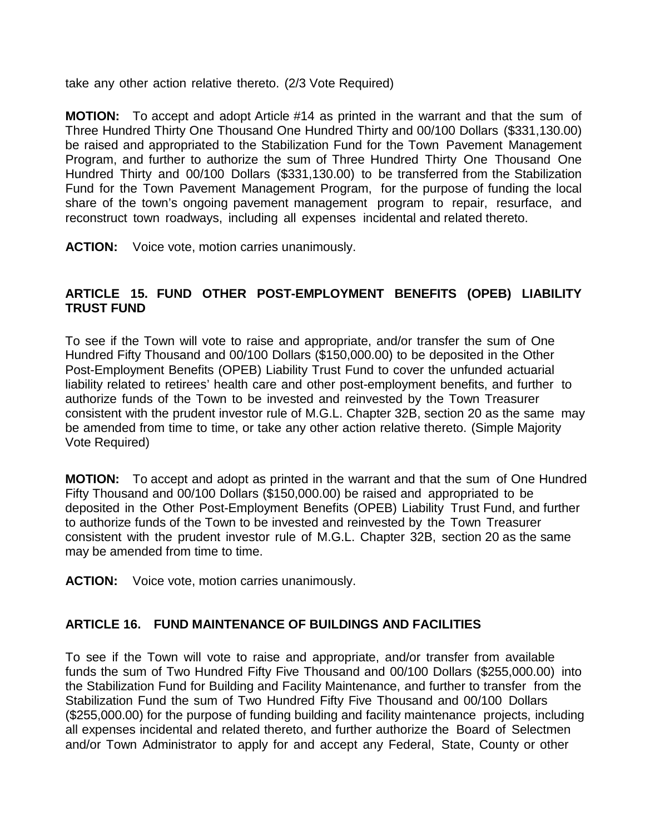take any other action relative thereto. (2/3 Vote Required)

**MOTION:** To accept and adopt Article #14 as printed in the warrant and that the sum of Three Hundred Thirty One Thousand One Hundred Thirty and 00/100 Dollars (\$331,130.00) be raised and appropriated to the Stabilization Fund for the Town Pavement Management Program, and further to authorize the sum of Three Hundred Thirty One Thousand One Hundred Thirty and 00/100 Dollars (\$331,130.00) to be transferred from the Stabilization Fund for the Town Pavement Management Program, for the purpose of funding the local share of the town's ongoing pavement management program to repair, resurface, and reconstruct town roadways, including all expenses incidental and related thereto.

**ACTION:** Voice vote, motion carries unanimously.

## **ARTICLE 15. FUND OTHER POST-EMPLOYMENT BENEFITS (OPEB) LIABILITY TRUST FUND**

To see if the Town will vote to raise and appropriate, and/or transfer the sum of One Hundred Fifty Thousand and 00/100 Dollars (\$150,000.00) to be deposited in the Other Post-Employment Benefits (OPEB) Liability Trust Fund to cover the unfunded actuarial liability related to retirees' health care and other post-employment benefits, and further to authorize funds of the Town to be invested and reinvested by the Town Treasurer consistent with the prudent investor rule of M.G.L. Chapter 32B, section 20 as the same may be amended from time to time, or take any other action relative thereto. (Simple Majority Vote Required)

**MOTION:** To accept and adopt as printed in the warrant and that the sum of One Hundred Fifty Thousand and 00/100 Dollars (\$150,000.00) be raised and appropriated to be deposited in the Other Post-Employment Benefits (OPEB) Liability Trust Fund, and further to authorize funds of the Town to be invested and reinvested by the Town Treasurer consistent with the prudent investor rule of M.G.L. Chapter 32B, section 20 as the same may be amended from time to time.

**ACTION:** Voice vote, motion carries unanimously.

### **ARTICLE 16. FUND MAINTENANCE OF BUILDINGS AND FACILITIES**

To see if the Town will vote to raise and appropriate, and/or transfer from available funds the sum of Two Hundred Fifty Five Thousand and 00/100 Dollars (\$255,000.00) into the Stabilization Fund for Building and Facility Maintenance, and further to transfer from the Stabilization Fund the sum of Two Hundred Fifty Five Thousand and 00/100 Dollars (\$255,000.00) for the purpose of funding building and facility maintenance projects, including all expenses incidental and related thereto, and further authorize the Board of Selectmen and/or Town Administrator to apply for and accept any Federal, State, County or other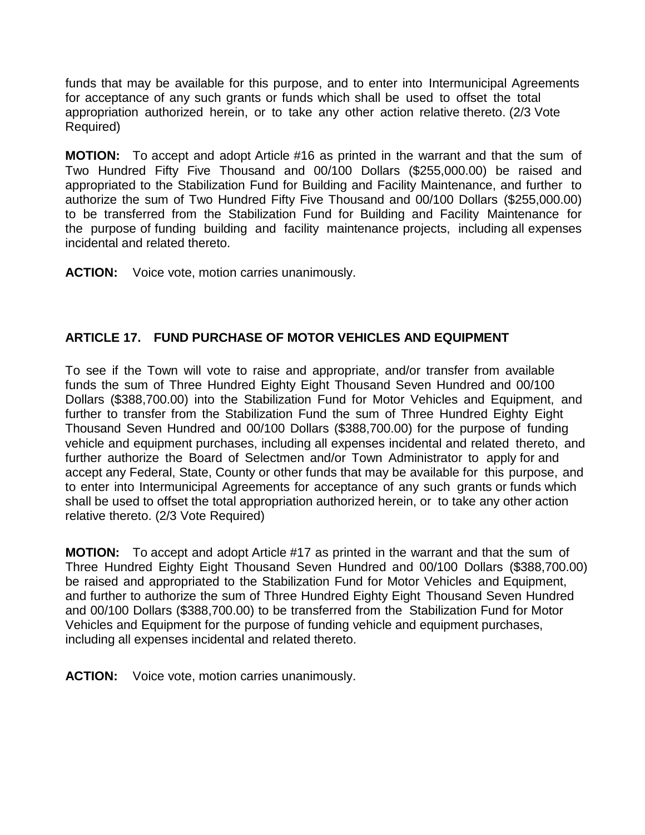funds that may be available for this purpose, and to enter into Intermunicipal Agreements for acceptance of any such grants or funds which shall be used to offset the total appropriation authorized herein, or to take any other action relative thereto. (2/3 Vote Required)

**MOTION:** To accept and adopt Article #16 as printed in the warrant and that the sum of Two Hundred Fifty Five Thousand and 00/100 Dollars (\$255,000.00) be raised and appropriated to the Stabilization Fund for Building and Facility Maintenance, and further to authorize the sum of Two Hundred Fifty Five Thousand and 00/100 Dollars (\$255,000.00) to be transferred from the Stabilization Fund for Building and Facility Maintenance for the purpose of funding building and facility maintenance projects, including all expenses incidental and related thereto.

**ACTION:** Voice vote, motion carries unanimously.

# **ARTICLE 17. FUND PURCHASE OF MOTOR VEHICLES AND EQUIPMENT**

To see if the Town will vote to raise and appropriate, and/or transfer from available funds the sum of Three Hundred Eighty Eight Thousand Seven Hundred and 00/100 Dollars (\$388,700.00) into the Stabilization Fund for Motor Vehicles and Equipment, and further to transfer from the Stabilization Fund the sum of Three Hundred Eighty Eight Thousand Seven Hundred and 00/100 Dollars (\$388,700.00) for the purpose of funding vehicle and equipment purchases, including all expenses incidental and related thereto, and further authorize the Board of Selectmen and/or Town Administrator to apply for and accept any Federal, State, County or other funds that may be available for this purpose, and to enter into Intermunicipal Agreements for acceptance of any such grants or funds which shall be used to offset the total appropriation authorized herein, or to take any other action relative thereto. (2/3 Vote Required)

**MOTION:** To accept and adopt Article #17 as printed in the warrant and that the sum of Three Hundred Eighty Eight Thousand Seven Hundred and 00/100 Dollars (\$388,700.00) be raised and appropriated to the Stabilization Fund for Motor Vehicles and Equipment, and further to authorize the sum of Three Hundred Eighty Eight Thousand Seven Hundred and 00/100 Dollars (\$388,700.00) to be transferred from the Stabilization Fund for Motor Vehicles and Equipment for the purpose of funding vehicle and equipment purchases, including all expenses incidental and related thereto.

**ACTION:** Voice vote, motion carries unanimously.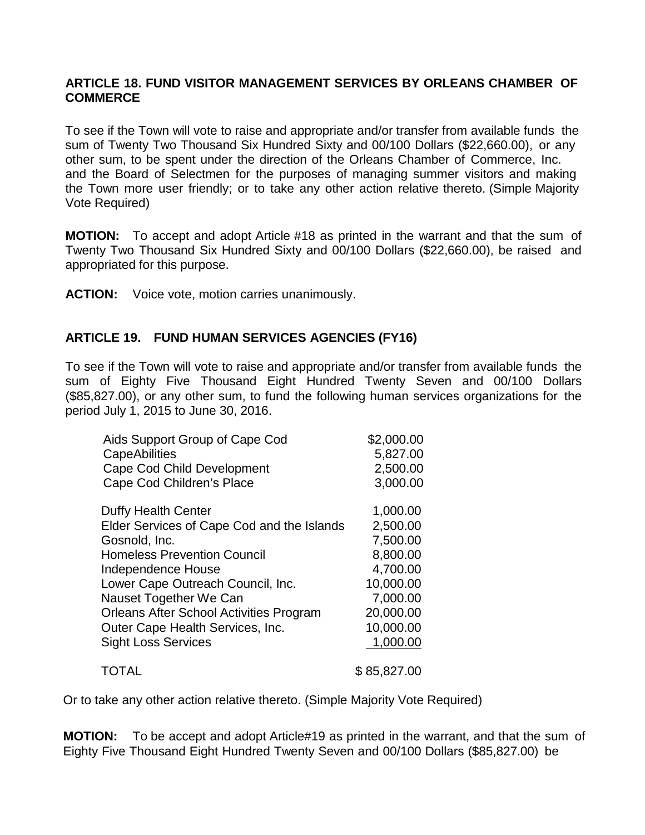### **ARTICLE 18. FUND VISITOR MANAGEMENT SERVICES BY ORLEANS CHAMBER OF COMMERCE**

To see if the Town will vote to raise and appropriate and/or transfer from available funds the sum of Twenty Two Thousand Six Hundred Sixty and 00/100 Dollars (\$22,660.00), or any other sum, to be spent under the direction of the Orleans Chamber of Commerce, Inc. and the Board of Selectmen for the purposes of managing summer visitors and making the Town more user friendly; or to take any other action relative thereto. (Simple Majority Vote Required)

**MOTION:** To accept and adopt Article #18 as printed in the warrant and that the sum of Twenty Two Thousand Six Hundred Sixty and 00/100 Dollars (\$22,660.00), be raised and appropriated for this purpose.

**ACTION:** Voice vote, motion carries unanimously.

## **ARTICLE 19. FUND HUMAN SERVICES AGENCIES (FY16)**

To see if the Town will vote to raise and appropriate and/or transfer from available funds the sum of Eighty Five Thousand Eight Hundred Twenty Seven and 00/100 Dollars (\$85,827.00), or any other sum, to fund the following human services organizations for the period July 1, 2015 to June 30, 2016.

| Aids Support Group of Cape Cod                 | \$2,000.00  |
|------------------------------------------------|-------------|
| <b>CapeAbilities</b>                           | 5,827.00    |
| <b>Cape Cod Child Development</b>              | 2,500.00    |
| Cape Cod Children's Place                      | 3,000.00    |
| <b>Duffy Health Center</b>                     | 1,000.00    |
| Elder Services of Cape Cod and the Islands     | 2,500.00    |
| Gosnold, Inc.                                  | 7,500.00    |
| <b>Homeless Prevention Council</b>             | 8,800.00    |
| Independence House                             | 4,700.00    |
| Lower Cape Outreach Council, Inc.              | 10,000.00   |
| Nauset Together We Can                         | 7,000.00    |
| <b>Orleans After School Activities Program</b> | 20,000.00   |
| Outer Cape Health Services, Inc.               | 10,000.00   |
| <b>Sight Loss Services</b>                     | 1,000.00    |
| <b>TOTAL</b>                                   | \$85,827.00 |

Or to take any other action relative thereto. (Simple Majority Vote Required)

**MOTION:** To be accept and adopt Article#19 as printed in the warrant, and that the sum of Eighty Five Thousand Eight Hundred Twenty Seven and 00/100 Dollars (\$85,827.00) be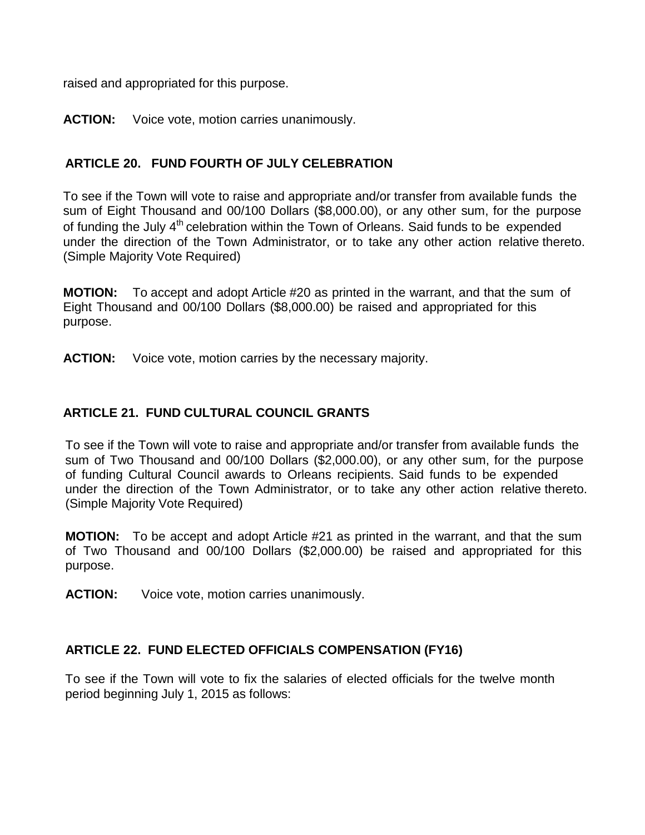raised and appropriated for this purpose.

### **ACTION:** Voice vote, motion carries unanimously.

## **ARTICLE 20. FUND FOURTH OF JULY CELEBRATION**

To see if the Town will vote to raise and appropriate and/or transfer from available funds the sum of Eight Thousand and 00/100 Dollars (\$8,000.00), or any other sum, for the purpose of funding the July 4<sup>th</sup> celebration within the Town of Orleans. Said funds to be expended under the direction of the Town Administrator, or to take any other action relative thereto. (Simple Majority Vote Required)

**MOTION:** To accept and adopt Article #20 as printed in the warrant, and that the sum of Eight Thousand and 00/100 Dollars (\$8,000.00) be raised and appropriated for this purpose.

**ACTION:** Voice vote, motion carries by the necessary majority.

## **ARTICLE 21. FUND CULTURAL COUNCIL GRANTS**

To see if the Town will vote to raise and appropriate and/or transfer from available funds the sum of Two Thousand and 00/100 Dollars (\$2,000.00), or any other sum, for the purpose of funding Cultural Council awards to Orleans recipients. Said funds to be expended under the direction of the Town Administrator, or to take any other action relative thereto. (Simple Majority Vote Required)

**MOTION:** To be accept and adopt Article #21 as printed in the warrant, and that the sum of Two Thousand and 00/100 Dollars (\$2,000.00) be raised and appropriated for this purpose.

**ACTION:** Voice vote, motion carries unanimously.

### **ARTICLE 22. FUND ELECTED OFFICIALS COMPENSATION (FY16)**

To see if the Town will vote to fix the salaries of elected officials for the twelve month period beginning July 1, 2015 as follows: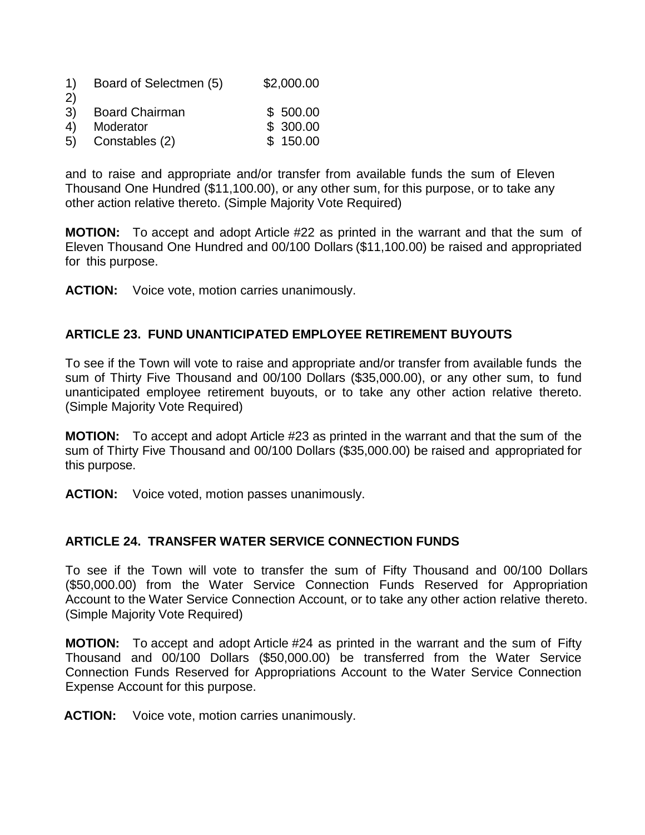| 1) | Board of Selectmen (5) | \$2,000.00 |
|----|------------------------|------------|
|----|------------------------|------------|

- 2) 3) Board Chairman \$ 500.00
- 4) Moderator **\$ 300.00**
- 5) Constables (2) \$ 150.00

and to raise and appropriate and/or transfer from available funds the sum of Eleven Thousand One Hundred (\$11,100.00), or any other sum, for this purpose, or to take any other action relative thereto. (Simple Majority Vote Required)

**MOTION:** To accept and adopt Article #22 as printed in the warrant and that the sum of Eleven Thousand One Hundred and 00/100 Dollars (\$11,100.00) be raised and appropriated for this purpose.

**ACTION:** Voice vote, motion carries unanimously.

## **ARTICLE 23. FUND UNANTICIPATED EMPLOYEE RETIREMENT BUYOUTS**

To see if the Town will vote to raise and appropriate and/or transfer from available funds the sum of Thirty Five Thousand and 00/100 Dollars (\$35,000.00), or any other sum, to fund unanticipated employee retirement buyouts, or to take any other action relative thereto. (Simple Majority Vote Required)

**MOTION:** To accept and adopt Article #23 as printed in the warrant and that the sum of the sum of Thirty Five Thousand and 00/100 Dollars (\$35,000.00) be raised and appropriated for this purpose.

**ACTION:** Voice voted, motion passes unanimously.

## **ARTICLE 24. TRANSFER WATER SERVICE CONNECTION FUNDS**

To see if the Town will vote to transfer the sum of Fifty Thousand and 00/100 Dollars (\$50,000.00) from the Water Service Connection Funds Reserved for Appropriation Account to the Water Service Connection Account, or to take any other action relative thereto. (Simple Majority Vote Required)

**MOTION:** To accept and adopt Article #24 as printed in the warrant and the sum of Fifty Thousand and 00/100 Dollars (\$50,000.00) be transferred from the Water Service Connection Funds Reserved for Appropriations Account to the Water Service Connection Expense Account for this purpose.

**ACTION:** Voice vote, motion carries unanimously.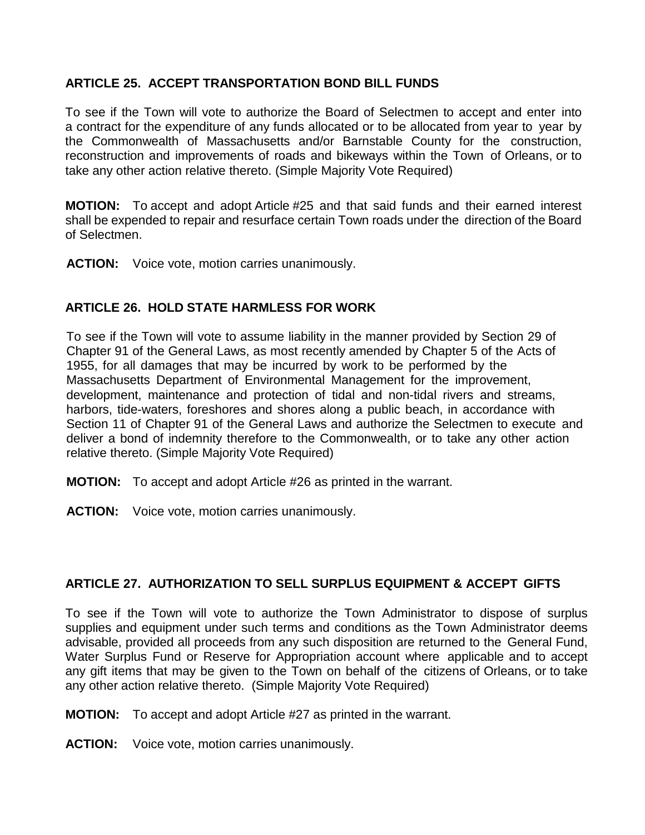### **ARTICLE 25. ACCEPT TRANSPORTATION BOND BILL FUNDS**

To see if the Town will vote to authorize the Board of Selectmen to accept and enter into a contract for the expenditure of any funds allocated or to be allocated from year to year by the Commonwealth of Massachusetts and/or Barnstable County for the construction, reconstruction and improvements of roads and bikeways within the Town of Orleans, or to take any other action relative thereto. (Simple Majority Vote Required)

**MOTION:** To accept and adopt Article #25 and that said funds and their earned interest shall be expended to repair and resurface certain Town roads under the direction of the Board of Selectmen.

**ACTION:** Voice vote, motion carries unanimously.

## **ARTICLE 26. HOLD STATE HARMLESS FOR WORK**

To see if the Town will vote to assume liability in the manner provided by Section 29 of Chapter 91 of the General Laws, as most recently amended by Chapter 5 of the Acts of 1955, for all damages that may be incurred by work to be performed by the Massachusetts Department of Environmental Management for the improvement, development, maintenance and protection of tidal and non-tidal rivers and streams, harbors, tide-waters, foreshores and shores along a public beach, in accordance with Section 11 of Chapter 91 of the General Laws and authorize the Selectmen to execute and deliver a bond of indemnity therefore to the Commonwealth, or to take any other action relative thereto. (Simple Majority Vote Required)

- **MOTION:** To accept and adopt Article #26 as printed in the warrant.
- **ACTION:** Voice vote, motion carries unanimously.

### **ARTICLE 27. AUTHORIZATION TO SELL SURPLUS EQUIPMENT & ACCEPT GIFTS**

To see if the Town will vote to authorize the Town Administrator to dispose of surplus supplies and equipment under such terms and conditions as the Town Administrator deems advisable, provided all proceeds from any such disposition are returned to the General Fund, Water Surplus Fund or Reserve for Appropriation account where applicable and to accept any gift items that may be given to the Town on behalf of the citizens of Orleans, or to take any other action relative thereto. (Simple Majority Vote Required)

**MOTION:** To accept and adopt Article #27 as printed in the warrant.

**ACTION:** Voice vote, motion carries unanimously.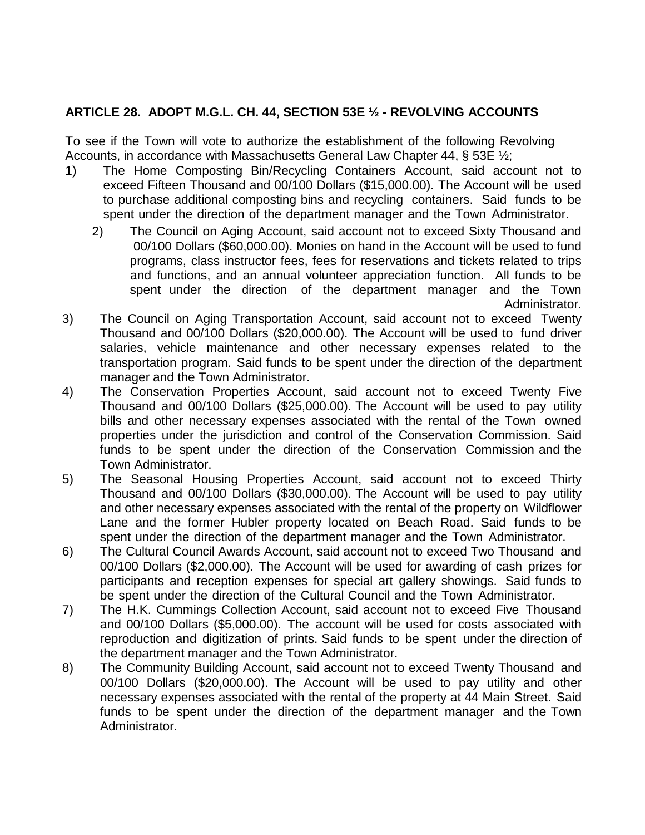## **ARTICLE 28. ADOPT M.G.L. CH. 44, SECTION 53E ½ - REVOLVING ACCOUNTS**

To see if the Town will vote to authorize the establishment of the following Revolving Accounts, in accordance with Massachusetts General Law Chapter 44, § 53E ½;

- 1) The Home Composting Bin/Recycling Containers Account, said account not to exceed Fifteen Thousand and 00/100 Dollars (\$15,000.00). The Account will be used to purchase additional composting bins and recycling containers. Said funds to be spent under the direction of the department manager and the Town Administrator.
	- 2) The Council on Aging Account, said account not to exceed Sixty Thousand and 00/100 Dollars (\$60,000.00). Monies on hand in the Account will be used to fund programs, class instructor fees, fees for reservations and tickets related to trips and functions, and an annual volunteer appreciation function. All funds to be spent under the direction of the department manager and the Town Administrator.
- 3) The Council on Aging Transportation Account, said account not to exceed Twenty Thousand and 00/100 Dollars (\$20,000.00). The Account will be used to fund driver salaries, vehicle maintenance and other necessary expenses related to the transportation program. Said funds to be spent under the direction of the department manager and the Town Administrator.
- 4) The Conservation Properties Account, said account not to exceed Twenty Five Thousand and 00/100 Dollars (\$25,000.00). The Account will be used to pay utility bills and other necessary expenses associated with the rental of the Town owned properties under the jurisdiction and control of the Conservation Commission. Said funds to be spent under the direction of the Conservation Commission and the Town Administrator.
- 5) The Seasonal Housing Properties Account, said account not to exceed Thirty Thousand and 00/100 Dollars (\$30,000.00). The Account will be used to pay utility and other necessary expenses associated with the rental of the property on Wildflower Lane and the former Hubler property located on Beach Road. Said funds to be spent under the direction of the department manager and the Town Administrator.
- 6) The Cultural Council Awards Account, said account not to exceed Two Thousand and 00/100 Dollars (\$2,000.00). The Account will be used for awarding of cash prizes for participants and reception expenses for special art gallery showings. Said funds to be spent under the direction of the Cultural Council and the Town Administrator.
- 7) The H.K. Cummings Collection Account, said account not to exceed Five Thousand and 00/100 Dollars (\$5,000.00). The account will be used for costs associated with reproduction and digitization of prints. Said funds to be spent under the direction of the department manager and the Town Administrator.
- 8) The Community Building Account, said account not to exceed Twenty Thousand and 00/100 Dollars (\$20,000.00). The Account will be used to pay utility and other necessary expenses associated with the rental of the property at 44 Main Street. Said funds to be spent under the direction of the department manager and the Town Administrator.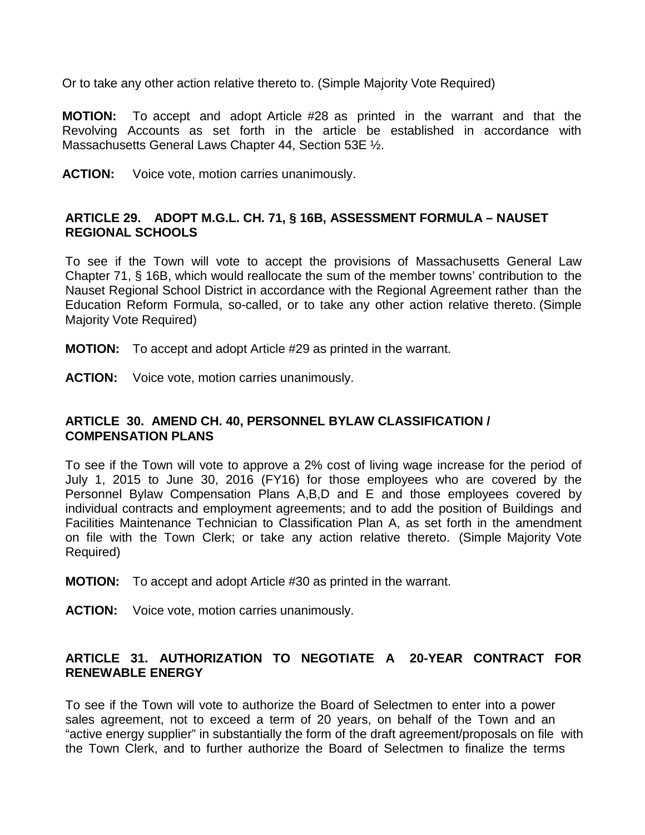Or to take any other action relative thereto to. (Simple Majority Vote Required)

**MOTION:** To accept and adopt Article #28 as printed in the warrant and that the Revolving Accounts as set forth in the article be established in accordance with Massachusetts General Laws Chapter 44, Section 53E 1/2.

**ACTION:** Voice vote, motion carries unanimously.

### **ARTICLE 29. ADOPT M.G.L. CH. 71, § 16B, ASSESSMENT FORMULA – NAUSET REGIONAL SCHOOLS**

To see if the Town will vote to accept the provisions of Massachusetts General Law Chapter 71, § 16B, which would reallocate the sum of the member towns' contribution to the Nauset Regional School District in accordance with the Regional Agreement rather than the Education Reform Formula, so-called, or to take any other action relative thereto. (Simple Majority Vote Required)

- **MOTION:** To accept and adopt Article #29 as printed in the warrant.
- **ACTION:** Voice vote, motion carries unanimously.

### **ARTICLE 30. AMEND CH. 40, PERSONNEL BYLAW CLASSIFICATION / COMPENSATION PLANS**

To see if the Town will vote to approve a 2% cost of living wage increase for the period of July 1, 2015 to June 30, 2016 (FY16) for those employees who are covered by the Personnel Bylaw Compensation Plans A,B,D and E and those employees covered by individual contracts and employment agreements; and to add the position of Buildings and Facilities Maintenance Technician to Classification Plan A, as set forth in the amendment on file with the Town Clerk; or take any action relative thereto. (Simple Majority Vote Required)

- **MOTION:** To accept and adopt Article #30 as printed in the warrant.
- **ACTION:** Voice vote, motion carries unanimously.

## **ARTICLE 31. AUTHORIZATION TO NEGOTIATE A 20-YEAR CONTRACT FOR RENEWABLE ENERGY**

To see if the Town will vote to authorize the Board of Selectmen to enter into a power sales agreement, not to exceed a term of 20 years, on behalf of the Town and an "active energy supplier" in substantially the form of the draft agreement/proposals on file with the Town Clerk, and to further authorize the Board of Selectmen to finalize the terms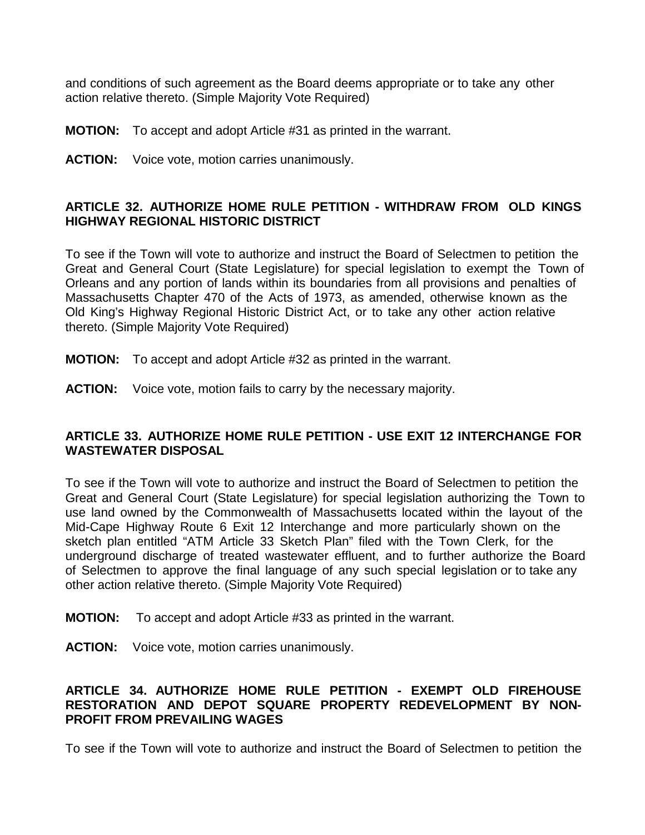and conditions of such agreement as the Board deems appropriate or to take any other action relative thereto. (Simple Majority Vote Required)

**MOTION:** To accept and adopt Article #31 as printed in the warrant.

**ACTION:** Voice vote, motion carries unanimously.

### **ARTICLE 32. AUTHORIZE HOME RULE PETITION - WITHDRAW FROM OLD KINGS HIGHWAY REGIONAL HISTORIC DISTRICT**

To see if the Town will vote to authorize and instruct the Board of Selectmen to petition the Great and General Court (State Legislature) for special legislation to exempt the Town of Orleans and any portion of lands within its boundaries from all provisions and penalties of Massachusetts Chapter 470 of the Acts of 1973, as amended, otherwise known as the Old King's Highway Regional Historic District Act, or to take any other action relative thereto. (Simple Majority Vote Required)

- **MOTION:** To accept and adopt Article #32 as printed in the warrant.
- **ACTION:** Voice vote, motion fails to carry by the necessary majority.

### **ARTICLE 33. AUTHORIZE HOME RULE PETITION - USE EXIT 12 INTERCHANGE FOR WASTEWATER DISPOSAL**

To see if the Town will vote to authorize and instruct the Board of Selectmen to petition the Great and General Court (State Legislature) for special legislation authorizing the Town to use land owned by the Commonwealth of Massachusetts located within the layout of the Mid-Cape Highway Route 6 Exit 12 Interchange and more particularly shown on the sketch plan entitled "ATM Article 33 Sketch Plan" filed with the Town Clerk, for the underground discharge of treated wastewater effluent, and to further authorize the Board of Selectmen to approve the final language of any such special legislation or to take any other action relative thereto. (Simple Majority Vote Required)

- **MOTION:** To accept and adopt Article #33 as printed in the warrant.
- **ACTION:** Voice vote, motion carries unanimously.

### **ARTICLE 34. AUTHORIZE HOME RULE PETITION - EXEMPT OLD FIREHOUSE RESTORATION AND DEPOT SQUARE PROPERTY REDEVELOPMENT BY NON-PROFIT FROM PREVAILING WAGES**

To see if the Town will vote to authorize and instruct the Board of Selectmen to petition the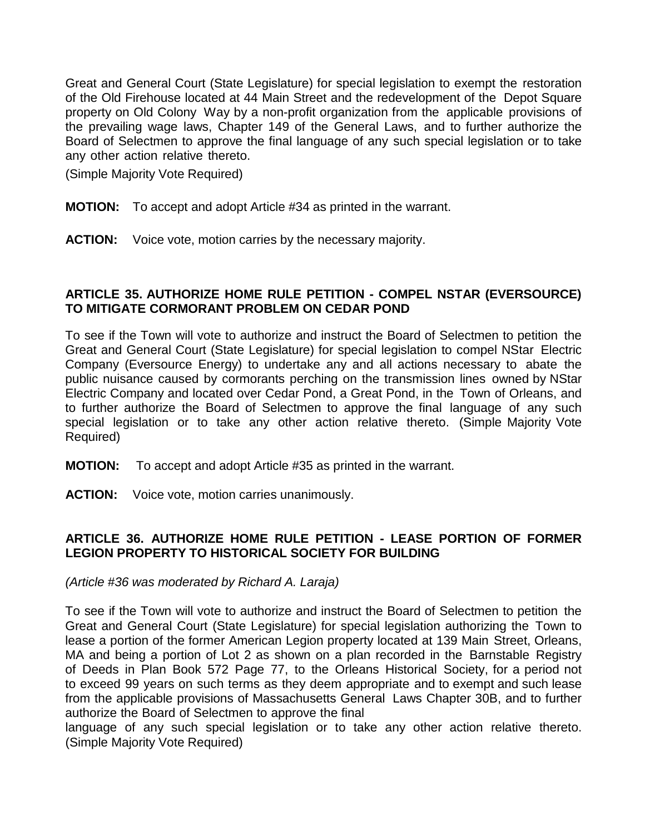Great and General Court (State Legislature) for special legislation to exempt the restoration of the Old Firehouse located at 44 Main Street and the redevelopment of the Depot Square property on Old Colony Way by a non-profit organization from the applicable provisions of the prevailing wage laws, Chapter 149 of the General Laws, and to further authorize the Board of Selectmen to approve the final language of any such special legislation or to take any other action relative thereto.

(Simple Majority Vote Required)

- **MOTION:** To accept and adopt Article #34 as printed in the warrant.
- **ACTION:** Voice vote, motion carries by the necessary majority.

#### **ARTICLE 35. AUTHORIZE HOME RULE PETITION - COMPEL NSTAR (EVERSOURCE) TO MITIGATE CORMORANT PROBLEM ON CEDAR POND**

To see if the Town will vote to authorize and instruct the Board of Selectmen to petition the Great and General Court (State Legislature) for special legislation to compel NStar Electric Company (Eversource Energy) to undertake any and all actions necessary to abate the public nuisance caused by cormorants perching on the transmission lines owned by NStar Electric Company and located over Cedar Pond, a Great Pond, in the Town of Orleans, and to further authorize the Board of Selectmen to approve the final language of any such special legislation or to take any other action relative thereto. (Simple Majority Vote Required)

- **MOTION:** To accept and adopt Article #35 as printed in the warrant.
- **ACTION:** Voice vote, motion carries unanimously.

### **ARTICLE 36. AUTHORIZE HOME RULE PETITION - LEASE PORTION OF FORMER LEGION PROPERTY TO HISTORICAL SOCIETY FOR BUILDING**

*(Article #36 was moderated by Richard A. Laraja)*

To see if the Town will vote to authorize and instruct the Board of Selectmen to petition the Great and General Court (State Legislature) for special legislation authorizing the Town to lease a portion of the former American Legion property located at 139 Main Street, Orleans, MA and being a portion of Lot 2 as shown on a plan recorded in the Barnstable Registry of Deeds in Plan Book 572 Page 77, to the Orleans Historical Society, for a period not to exceed 99 years on such terms as they deem appropriate and to exempt and such lease from the applicable provisions of Massachusetts General Laws Chapter 30B, and to further authorize the Board of Selectmen to approve the final

language of any such special legislation or to take any other action relative thereto. (Simple Majority Vote Required)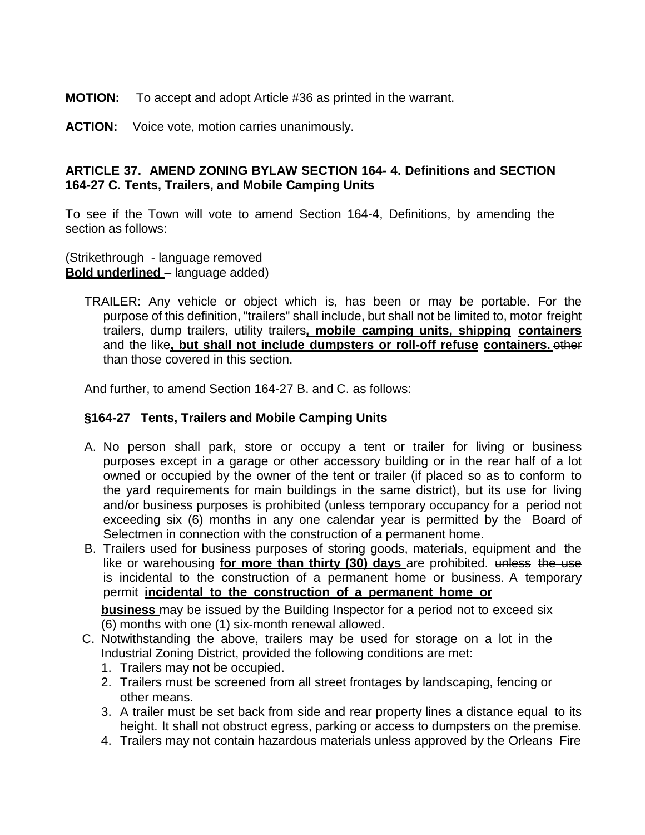**MOTION:** To accept and adopt Article #36 as printed in the warrant.

**ACTION:** Voice vote, motion carries unanimously.

## **ARTICLE 37. AMEND ZONING BYLAW SECTION 164- 4. Definitions and SECTION 164-27 C. Tents, Trailers, and Mobile Camping Units**

To see if the Town will vote to amend Section 164-4, Definitions, by amending the section as follows:

#### (Strikethrough - language removed **Bold underlined** – language added)

TRAILER: Any vehicle or object which is, has been or may be portable. For the purpose of this definition, "trailers" shall include, but shall not be limited to, motor freight trailers, dump trailers, utility trailers**, mobile camping units, shipping containers** and the like**, but shall not include dumpsters or roll-off refuse containers.** other than those covered in this section.

And further, to amend Section 164-27 B. and C. as follows:

### **§164-27 Tents, Trailers and Mobile Camping Units**

- A. No person shall park, store or occupy a tent or trailer for living or business purposes except in a garage or other accessory building or in the rear half of a lot owned or occupied by the owner of the tent or trailer (if placed so as to conform to the yard requirements for main buildings in the same district), but its use for living and/or business purposes is prohibited (unless temporary occupancy for a period not exceeding six (6) months in any one calendar year is permitted by the Board of Selectmen in connection with the construction of a permanent home.
- B. Trailers used for business purposes of storing goods, materials, equipment and the like or warehousing **for more than thirty (30) days** are prohibited. unless the use is incidental to the construction of a permanent home or business. A temporary permit **incidental to the construction of a permanent home or**

**business** may be issued by the Building Inspector for a period not to exceed six (6) months with one (1) six-month renewal allowed.

- C. Notwithstanding the above, trailers may be used for storage on a lot in the Industrial Zoning District, provided the following conditions are met:
	- 1. Trailers may not be occupied.
	- 2. Trailers must be screened from all street frontages by landscaping, fencing or other means.
	- 3. A trailer must be set back from side and rear property lines a distance equal to its height. It shall not obstruct egress, parking or access to dumpsters on the premise.
	- 4. Trailers may not contain hazardous materials unless approved by the Orleans Fire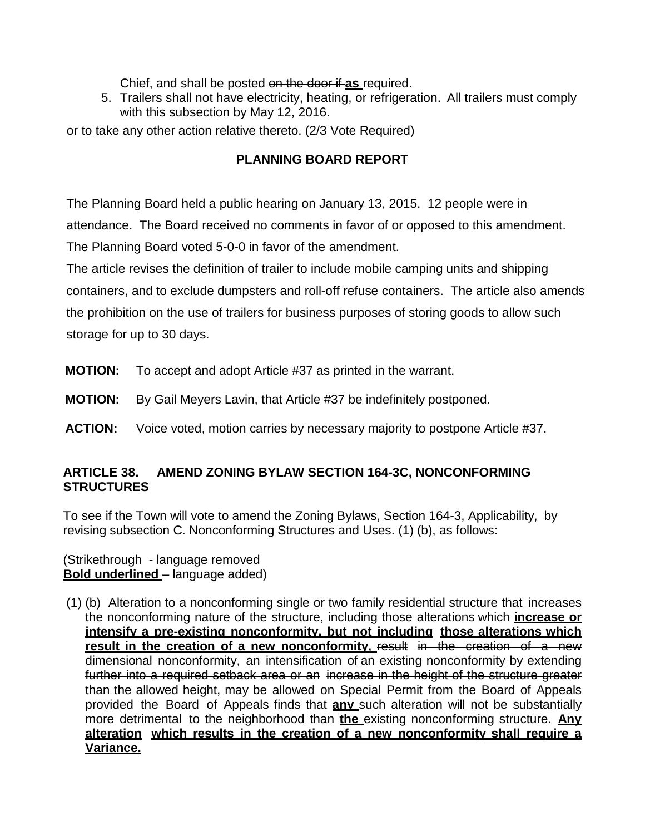Chief, and shall be posted on the door if **as** required.

5. Trailers shall not have electricity, heating, or refrigeration. All trailers must comply with this subsection by May 12, 2016.

or to take any other action relative thereto. (2/3 Vote Required)

# **PLANNING BOARD REPORT**

The Planning Board held a public hearing on January 13, 2015. 12 people were in attendance. The Board received no comments in favor of or opposed to this amendment. The Planning Board voted 5-0-0 in favor of the amendment.

The article revises the definition of trailer to include mobile camping units and shipping containers, and to exclude dumpsters and roll-off refuse containers. The article also amends the prohibition on the use of trailers for business purposes of storing goods to allow such storage for up to 30 days.

- **MOTION:** To accept and adopt Article #37 as printed in the warrant.
- **MOTION:** By Gail Meyers Lavin, that Article #37 be indefinitely postponed.
- **ACTION:** Voice voted, motion carries by necessary majority to postpone Article #37.

## **ARTICLE 38. AMEND ZONING BYLAW SECTION 164-3C, NONCONFORMING STRUCTURES**

To see if the Town will vote to amend the Zoning Bylaws, Section 164-3, Applicability, by revising subsection C. Nonconforming Structures and Uses. (1) (b), as follows:

(Strikethrough - language removed **Bold underlined** – language added)

(1) (b) Alteration to a nonconforming single or two family residential structure that increases the nonconforming nature of the structure, including those alterations which **increase or intensify a pre-existing nonconformity, but not including those alterations which result in the creation of a new nonconformity,** result in the creation of a new dimensional nonconformity, an intensification of an existing nonconformity by extending further into a required setback area or an increase in the height of the structure greater than the allowed height, may be allowed on Special Permit from the Board of Appeals provided the Board of Appeals finds that **any** such alteration will not be substantially more detrimental to the neighborhood than **the** existing nonconforming structure. **Any alteration which results in the creation of a new nonconformity shall require a Variance.**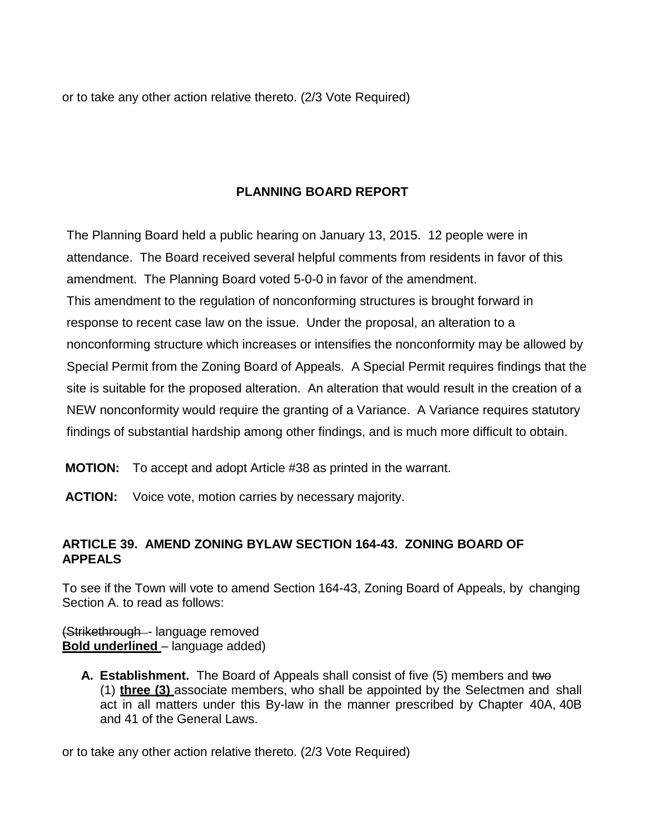or to take any other action relative thereto. (2/3 Vote Required)

## **PLANNING BOARD REPORT**

The Planning Board held a public hearing on January 13, 2015. 12 people were in attendance. The Board received several helpful comments from residents in favor of this amendment. The Planning Board voted 5-0-0 in favor of the amendment. This amendment to the regulation of nonconforming structures is brought forward in response to recent case law on the issue. Under the proposal, an alteration to a nonconforming structure which increases or intensifies the nonconformity may be allowed by Special Permit from the Zoning Board of Appeals. A Special Permit requires findings that the site is suitable for the proposed alteration. An alteration that would result in the creation of a NEW nonconformity would require the granting of a Variance. A Variance requires statutory findings of substantial hardship among other findings, and is much more difficult to obtain.

**MOTION:** To accept and adopt Article #38 as printed in the warrant.

**ACTION:** Voice vote, motion carries by necessary majority.

## **ARTICLE 39. AMEND ZONING BYLAW SECTION 164-43. ZONING BOARD OF APPEALS**

To see if the Town will vote to amend Section 164-43, Zoning Board of Appeals, by changing Section A. to read as follows:

(Strikethrough - language removed **Bold underlined** – language added)

**A. Establishment.** The Board of Appeals shall consist of five (5) members and two (1) **three (3)** associate members, who shall be appointed by the Selectmen and shall act in all matters under this By-law in the manner prescribed by Chapter 40A, 40B and 41 of the General Laws.

or to take any other action relative thereto. (2/3 Vote Required)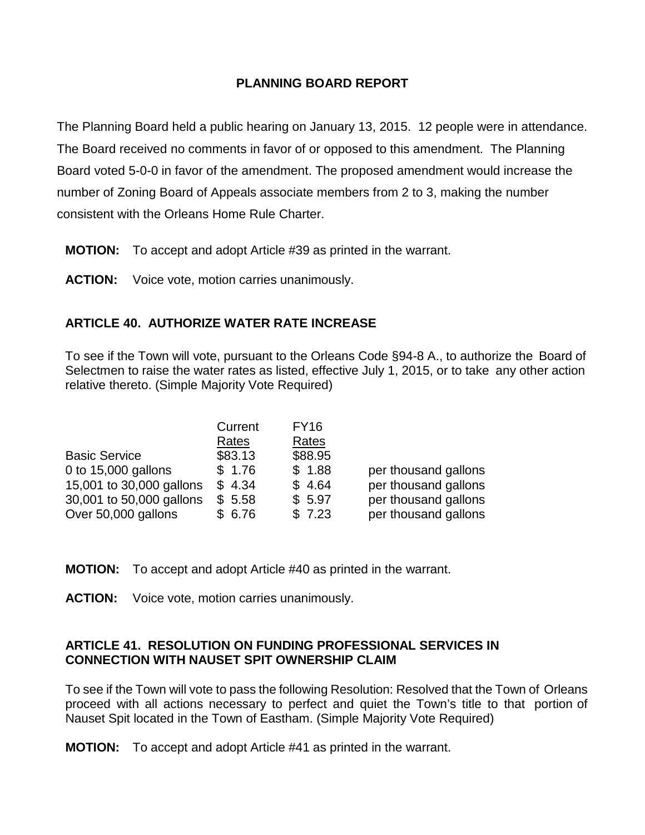### **PLANNING BOARD REPORT**

The Planning Board held a public hearing on January 13, 2015. 12 people were in attendance. The Board received no comments in favor of or opposed to this amendment. The Planning Board voted 5-0-0 in favor of the amendment. The proposed amendment would increase the number of Zoning Board of Appeals associate members from 2 to 3, making the number consistent with the Orleans Home Rule Charter.

- **MOTION:** To accept and adopt Article #39 as printed in the warrant.
- **ACTION:** Voice vote, motion carries unanimously.

## **ARTICLE 40. AUTHORIZE WATER RATE INCREASE**

To see if the Town will vote, pursuant to the Orleans Code §94-8 A., to authorize the Board of Selectmen to raise the water rates as listed, effective July 1, 2015, or to take any other action relative thereto. (Simple Majority Vote Required)

|                          | Current | <b>FY16</b> |                      |
|--------------------------|---------|-------------|----------------------|
|                          | Rates   | Rates       |                      |
| <b>Basic Service</b>     | \$83.13 | \$88.95     |                      |
| 0 to 15,000 gallons      | \$1.76  | \$1.88      | per thousand gallons |
| 15,001 to 30,000 gallons | \$4.34  | \$4.64      | per thousand gallons |
| 30,001 to 50,000 gallons | \$5.58  | \$5.97      | per thousand gallons |
| Over 50,000 gallons      | \$6.76  | \$7.23      | per thousand gallons |

**MOTION:** To accept and adopt Article #40 as printed in the warrant.

**ACTION:** Voice vote, motion carries unanimously.

### **ARTICLE 41. RESOLUTION ON FUNDING PROFESSIONAL SERVICES IN CONNECTION WITH NAUSET SPIT OWNERSHIP CLAIM**

To see if the Town will vote to pass the following Resolution: Resolved that the Town of Orleans proceed with all actions necessary to perfect and quiet the Town's title to that portion of Nauset Spit located in the Town of Eastham. (Simple Majority Vote Required)

**MOTION:** To accept and adopt Article #41 as printed in the warrant.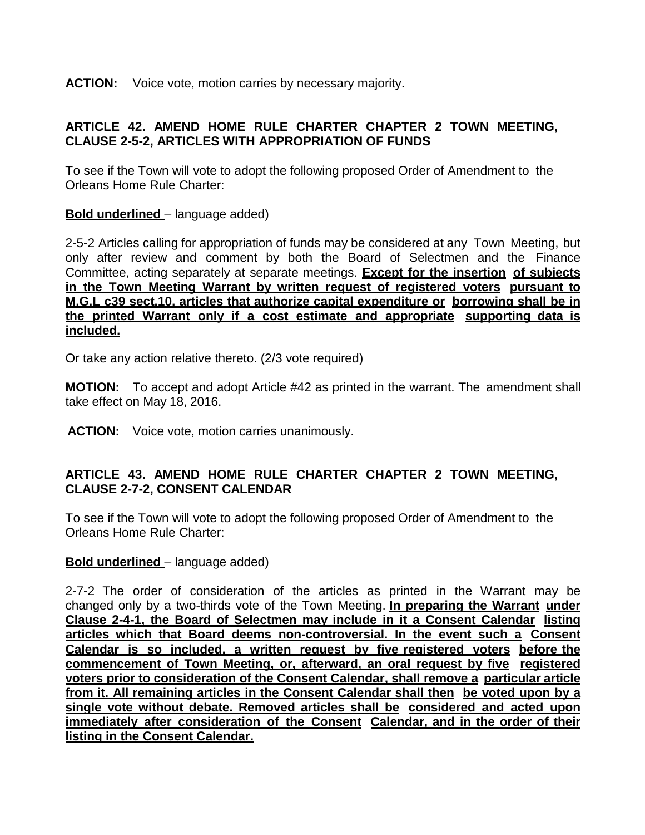**ACTION:** Voice vote, motion carries by necessary majority.

## **ARTICLE 42. AMEND HOME RULE CHARTER CHAPTER 2 TOWN MEETING, CLAUSE 2-5-2, ARTICLES WITH APPROPRIATION OF FUNDS**

To see if the Town will vote to adopt the following proposed Order of Amendment to the Orleans Home Rule Charter:

## **Bold underlined** – language added)

2-5-2 Articles calling for appropriation of funds may be considered at any Town Meeting, but only after review and comment by both the Board of Selectmen and the Finance Committee, acting separately at separate meetings. **Except for the insertion of subjects in the Town Meeting Warrant by written request of registered voters pursuant to M.G.L c39 sect.10, articles that authorize capital expenditure or borrowing shall be in the printed Warrant only if a cost estimate and appropriate supporting data is included.**

Or take any action relative thereto. (2/3 vote required)

**MOTION:** To accept and adopt Article #42 as printed in the warrant. The amendment shall take effect on May 18, 2016.

**ACTION:** Voice vote, motion carries unanimously.

## **ARTICLE 43. AMEND HOME RULE CHARTER CHAPTER 2 TOWN MEETING, CLAUSE 2-7-2, CONSENT CALENDAR**

To see if the Town will vote to adopt the following proposed Order of Amendment to the Orleans Home Rule Charter:

### **Bold underlined** – language added)

2-7-2 The order of consideration of the articles as printed in the Warrant may be changed only by a two-thirds vote of the Town Meeting. **In preparing the Warrant under Clause 2-4-1, the Board of Selectmen may include in it a Consent Calendar listing articles which that Board deems non-controversial. In the event such a Consent Calendar is so included, a written request by five registered voters before the commencement of Town Meeting, or, afterward, an oral request by five registered voters prior to consideration of the Consent Calendar, shall remove a particular article from it. All remaining articles in the Consent Calendar shall then be voted upon by a single vote without debate. Removed articles shall be considered and acted upon immediately after consideration of the Consent Calendar, and in the order of their listing in the Consent Calendar.**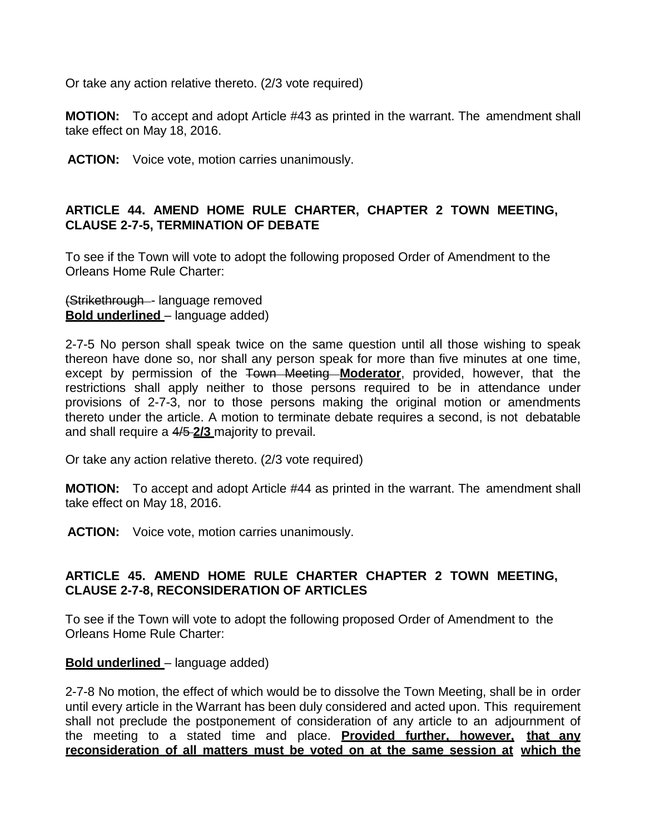Or take any action relative thereto. (2/3 vote required)

**MOTION:** To accept and adopt Article #43 as printed in the warrant. The amendment shall take effect on May 18, 2016.

**ACTION:** Voice vote, motion carries unanimously.

### **ARTICLE 44. AMEND HOME RULE CHARTER, CHAPTER 2 TOWN MEETING, CLAUSE 2-7-5, TERMINATION OF DEBATE**

To see if the Town will vote to adopt the following proposed Order of Amendment to the Orleans Home Rule Charter:

(Strikethrough - language removed **Bold underlined** – language added)

2-7-5 No person shall speak twice on the same question until all those wishing to speak thereon have done so, nor shall any person speak for more than five minutes at one time, except by permission of the Town Meeting **Moderator**, provided, however, that the restrictions shall apply neither to those persons required to be in attendance under provisions of 2-7-3, nor to those persons making the original motion or amendments thereto under the article. A motion to terminate debate requires a second, is not debatable and shall require a 4/5 **2/3** majority to prevail.

Or take any action relative thereto. (2/3 vote required)

**MOTION:** To accept and adopt Article #44 as printed in the warrant. The amendment shall take effect on May 18, 2016.

**ACTION:** Voice vote, motion carries unanimously.

### **ARTICLE 45. AMEND HOME RULE CHARTER CHAPTER 2 TOWN MEETING, CLAUSE 2-7-8, RECONSIDERATION OF ARTICLES**

To see if the Town will vote to adopt the following proposed Order of Amendment to the Orleans Home Rule Charter:

#### **Bold underlined** – language added)

2-7-8 No motion, the effect of which would be to dissolve the Town Meeting, shall be in order until every article in the Warrant has been duly considered and acted upon. This requirement shall not preclude the postponement of consideration of any article to an adjournment of the meeting to a stated time and place. **Provided further, however, that any reconsideration of all matters must be voted on at the same session at which the**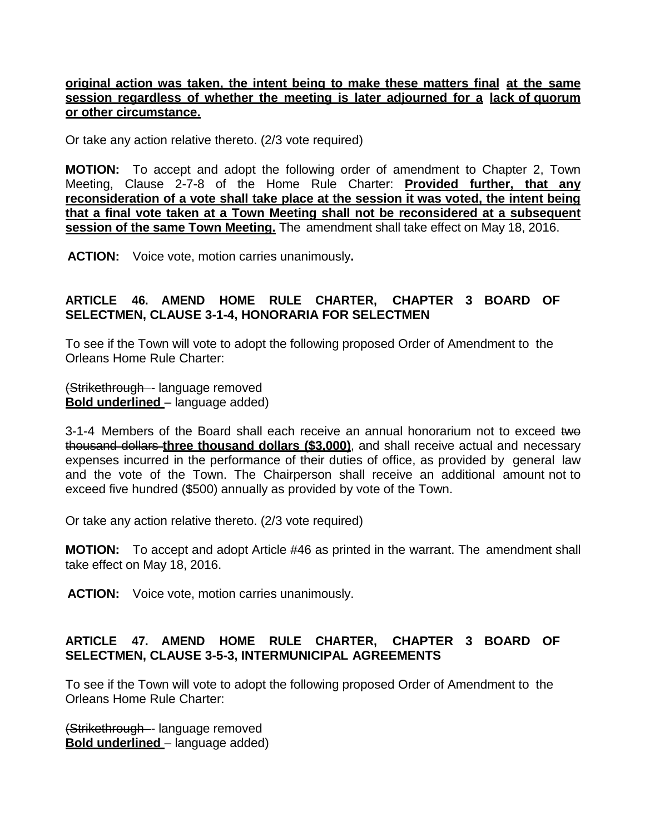### **original action was taken, the intent being to make these matters final at the same session regardless of whether the meeting is later adjourned for a lack of quorum or other circumstance.**

Or take any action relative thereto. (2/3 vote required)

**MOTION:** To accept and adopt the following order of amendment to Chapter 2, Town Meeting, Clause 2-7-8 of the Home Rule Charter: **Provided further, that any reconsideration of a vote shall take place at the session it was voted, the intent being that a final vote taken at a Town Meeting shall not be reconsidered at a subsequent session of the same Town Meeting.** The amendment shall take effect on May 18, 2016.

 **ACTION:** Voice vote, motion carries unanimously**.**

## **ARTICLE 46. AMEND HOME RULE CHARTER, CHAPTER 3 BOARD OF SELECTMEN, CLAUSE 3-1-4, HONORARIA FOR SELECTMEN**

To see if the Town will vote to adopt the following proposed Order of Amendment to the Orleans Home Rule Charter:

(Strikethrough - language removed **Bold underlined** – language added)

3-1-4 Members of the Board shall each receive an annual honorarium not to exceed two thousand dollars **three thousand dollars (\$3,000)**, and shall receive actual and necessary expenses incurred in the performance of their duties of office, as provided by general law and the vote of the Town. The Chairperson shall receive an additional amount not to exceed five hundred (\$500) annually as provided by vote of the Town.

Or take any action relative thereto. (2/3 vote required)

**MOTION:** To accept and adopt Article #46 as printed in the warrant. The amendment shall take effect on May 18, 2016.

**ACTION:** Voice vote, motion carries unanimously.

## **ARTICLE 47. AMEND HOME RULE CHARTER, CHAPTER 3 BOARD OF SELECTMEN, CLAUSE 3-5-3, INTERMUNICIPAL AGREEMENTS**

To see if the Town will vote to adopt the following proposed Order of Amendment to the Orleans Home Rule Charter:

(Strikethrough - language removed **Bold underlined** – language added)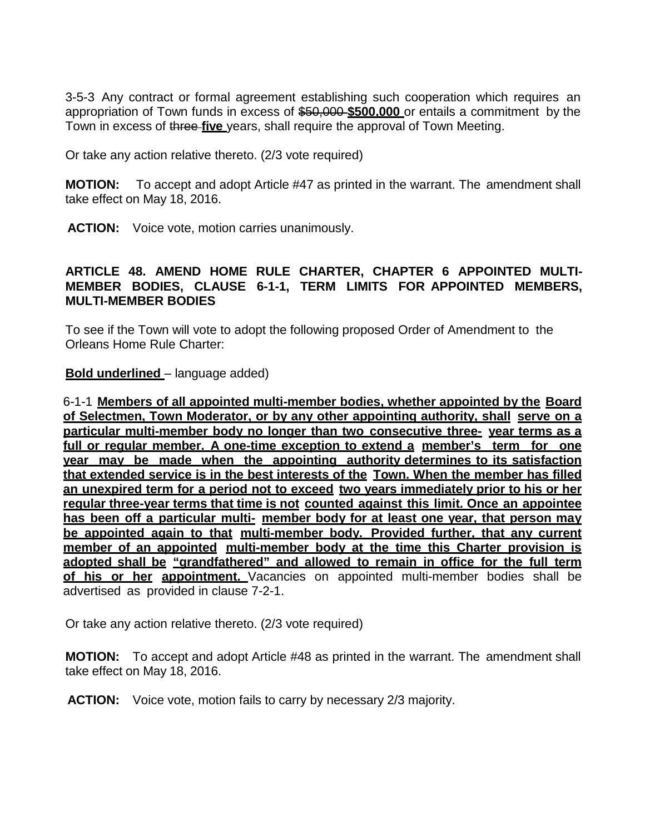3-5-3 Any contract or formal agreement establishing such cooperation which requires an appropriation of Town funds in excess of \$50,000 **\$500,000** or entails a commitment by the Town in excess of three **five** years, shall require the approval of Town Meeting.

Or take any action relative thereto. (2/3 vote required)

**MOTION:** To accept and adopt Article #47 as printed in the warrant. The amendment shall take effect on May 18, 2016.

**ACTION:** Voice vote, motion carries unanimously.

### **ARTICLE 48. AMEND HOME RULE CHARTER, CHAPTER 6 APPOINTED MULTI-MEMBER BODIES, CLAUSE 6-1-1, TERM LIMITS FOR APPOINTED MEMBERS, MULTI-MEMBER BODIES**

To see if the Town will vote to adopt the following proposed Order of Amendment to the Orleans Home Rule Charter:

#### **Bold underlined** – language added)

6-1-1 **Members of all appointed multi-member bodies, whether appointed by the Board of Selectmen, Town Moderator, or by any other appointing authority, shall serve on a particular multi-member body no longer than two consecutive three- year terms as a full or regular member. A one-time exception to extend a member's term for one year may be made when the appointing authority determines to its satisfaction that extended service is in the best interests of the Town. When the member has filled an unexpired term for a period not to exceed two years immediately prior to his or her regular three-year terms that time is not counted against this limit. Once an appointee has been off a particular multi- member body for at least one year, that person may be appointed again to that multi-member body. Provided further, that any current member of an appointed multi-member body at the time this Charter provision is adopted shall be "grandfathered" and allowed to remain in office for the full term of his or her appointment.** Vacancies on appointed multi-member bodies shall be advertised as provided in clause 7-2-1.

Or take any action relative thereto. (2/3 vote required)

**MOTION:** To accept and adopt Article #48 as printed in the warrant. The amendment shall take effect on May 18, 2016.

 **ACTION:** Voice vote, motion fails to carry by necessary 2/3 majority.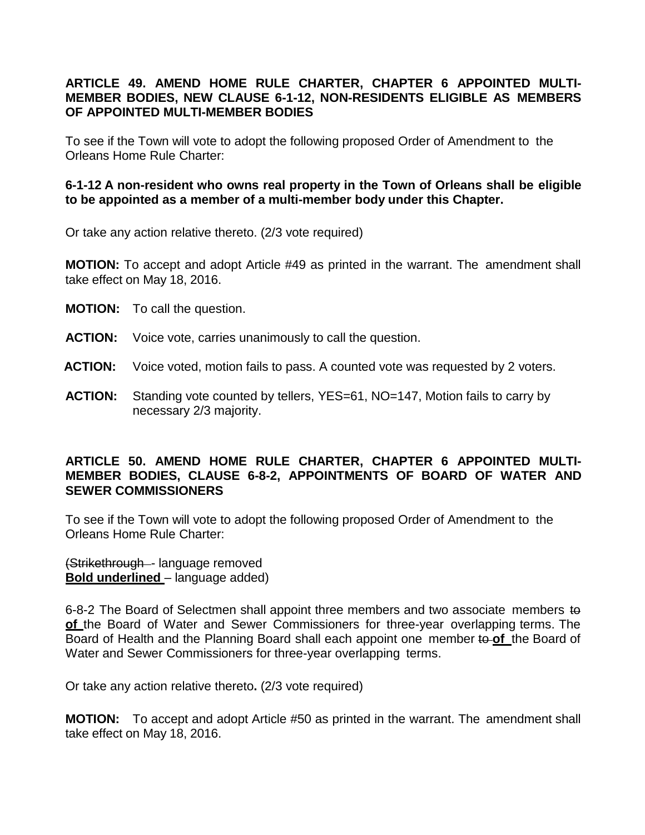### **ARTICLE 49. AMEND HOME RULE CHARTER, CHAPTER 6 APPOINTED MULTI-MEMBER BODIES, NEW CLAUSE 6-1-12, NON-RESIDENTS ELIGIBLE AS MEMBERS OF APPOINTED MULTI-MEMBER BODIES**

To see if the Town will vote to adopt the following proposed Order of Amendment to the Orleans Home Rule Charter:

### **6-1-12 A non-resident who owns real property in the Town of Orleans shall be eligible to be appointed as a member of a multi-member body under this Chapter.**

Or take any action relative thereto. (2/3 vote required)

**MOTION:** To accept and adopt Article #49 as printed in the warrant. The amendment shall take effect on May 18, 2016.

- **MOTION:** To call the question.
- **ACTION:** Voice vote, carries unanimously to call the question.
- **ACTION:** Voice voted, motion fails to pass. A counted vote was requested by 2 voters.
- **ACTION:** Standing vote counted by tellers, YES=61, NO=147, Motion fails to carry by necessary 2/3 majority.

#### **ARTICLE 50. AMEND HOME RULE CHARTER, CHAPTER 6 APPOINTED MULTI-MEMBER BODIES, CLAUSE 6-8-2, APPOINTMENTS OF BOARD OF WATER AND SEWER COMMISSIONERS**

To see if the Town will vote to adopt the following proposed Order of Amendment to the Orleans Home Rule Charter:

(Strikethrough - language removed **Bold underlined** – language added)

6-8-2 The Board of Selectmen shall appoint three members and two associate members to **of** the Board of Water and Sewer Commissioners for three-year overlapping terms. The Board of Health and the Planning Board shall each appoint one member to **of** the Board of Water and Sewer Commissioners for three-year overlapping terms.

Or take any action relative thereto**.** (2/3 vote required)

**MOTION:** To accept and adopt Article #50 as printed in the warrant. The amendment shall take effect on May 18, 2016.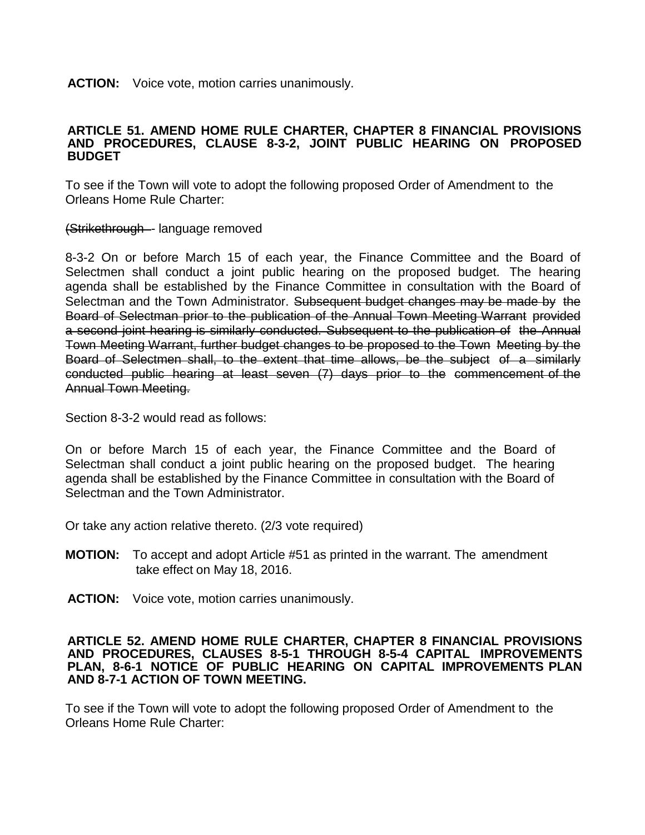**ACTION:** Voice vote, motion carries unanimously.

#### **ARTICLE 51. AMEND HOME RULE CHARTER, CHAPTER 8 FINANCIAL PROVISIONS AND PROCEDURES, CLAUSE 8-3-2, JOINT PUBLIC HEARING ON PROPOSED BUDGET**

To see if the Town will vote to adopt the following proposed Order of Amendment to the Orleans Home Rule Charter:

(Strikethrough - language removed

8-3-2 On or before March 15 of each year, the Finance Committee and the Board of Selectmen shall conduct a joint public hearing on the proposed budget. The hearing agenda shall be established by the Finance Committee in consultation with the Board of Selectman and the Town Administrator. Subsequent budget changes may be made by the Board of Selectman prior to the publication of the Annual Town Meeting Warrant provided a second joint hearing is similarly conducted. Subsequent to the publication of the Annual Town Meeting Warrant, further budget changes to be proposed to the Town Meeting by the Board of Selectmen shall, to the extent that time allows, be the subject of a similarly conducted public hearing at least seven (7) days prior to the commencement of the Annual Town Meeting.

Section 8-3-2 would read as follows:

On or before March 15 of each year, the Finance Committee and the Board of Selectman shall conduct a joint public hearing on the proposed budget. The hearing agenda shall be established by the Finance Committee in consultation with the Board of Selectman and the Town Administrator.

Or take any action relative thereto. (2/3 vote required)

- **MOTION:** To accept and adopt Article #51 as printed in the warrant. The amendment take effect on May 18, 2016.
- **ACTION:** Voice vote, motion carries unanimously.

#### **ARTICLE 52. AMEND HOME RULE CHARTER, CHAPTER 8 FINANCIAL PROVISIONS AND PROCEDURES, CLAUSES 8-5-1 THROUGH 8-5-4 CAPITAL IMPROVEMENTS PLAN, 8-6-1 NOTICE OF PUBLIC HEARING ON CAPITAL IMPROVEMENTS PLAN AND 8-7-1 ACTION OF TOWN MEETING.**

To see if the Town will vote to adopt the following proposed Order of Amendment to the Orleans Home Rule Charter: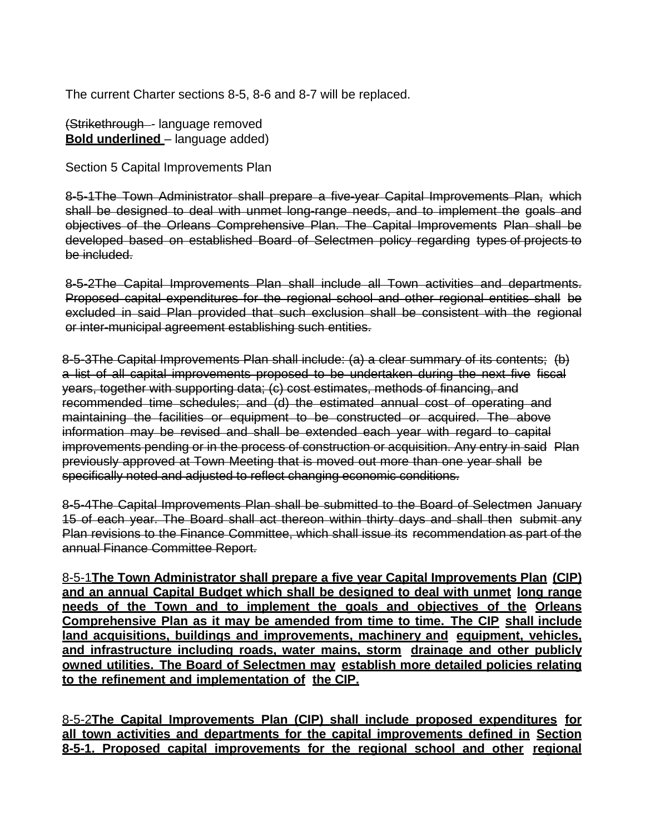The current Charter sections 8-5, 8-6 and 8-7 will be replaced.

(Strikethrough - language removed **Bold underlined** – language added)

Section 5 Capital Improvements Plan

8-5-1The Town Administrator shall prepare a five-year Capital Improvements Plan, which shall be designed to deal with unmet long-range needs, and to implement the goals and objectives of the Orleans Comprehensive Plan. The Capital Improvements Plan shall be developed based on established Board of Selectmen policy regarding types of projects to be included.

8-5-2The Capital Improvements Plan shall include all Town activities and departments. Proposed capital expenditures for the regional school and other regional entities shall be excluded in said Plan provided that such exclusion shall be consistent with the regional or inter-municipal agreement establishing such entities.

8-5-3The Capital Improvements Plan shall include: (a) a clear summary of its contents; (b) a list of all capital improvements proposed to be undertaken during the next five fiscal years, together with supporting data; (c) cost estimates, methods of financing, and recommended time schedules; and (d) the estimated annual cost of operating and maintaining the facilities or equipment to be constructed or acquired. The above information may be revised and shall be extended each year with regard to capital improvements pending or in the process of construction or acquisition. Any entry in said Plan previously approved at Town Meeting that is moved out more than one year shall be specifically noted and adjusted to reflect changing economic conditions.

8-5-4The Capital Improvements Plan shall be submitted to the Board of Selectmen January 15 of each year. The Board shall act thereon within thirty days and shall then submit any Plan revisions to the Finance Committee, which shall issue its recommendation as part of the annual Finance Committee Report.

8-5-1**The Town Administrator shall prepare a five year Capital Improvements Plan (CIP) and an annual Capital Budget which shall be designed to deal with unmet long range needs of the Town and to implement the goals and objectives of the Orleans Comprehensive Plan as it may be amended from time to time. The CIP shall include land acquisitions, buildings and improvements, machinery and equipment, vehicles, and infrastructure including roads, water mains, storm drainage and other publicly owned utilities. The Board of Selectmen may establish more detailed policies relating to the refinement and implementation of the CIP.**

8-5-2**The Capital Improvements Plan (CIP) shall include proposed expenditures for all town activities and departments for the capital improvements defined in Section 8-5-1. Proposed capital improvements for the regional school and other regional**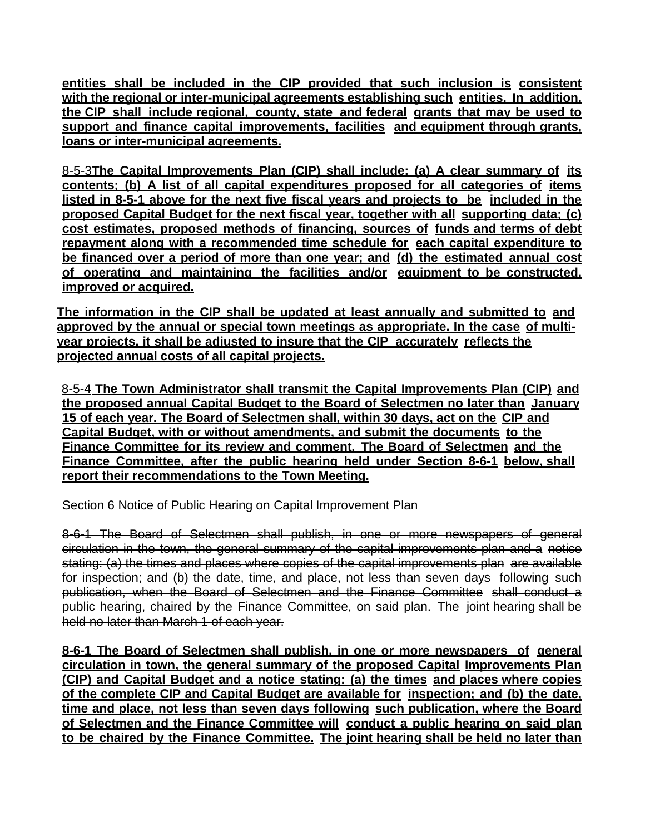**entities shall be included in the CIP provided that such inclusion is consistent with the regional or inter-municipal agreements establishing such entities. In addition, the CIP shall include regional, county, state and federal grants that may be used to support and finance capital improvements, facilities and equipment through grants, loans or inter-municipal agreements.**

8-5-3**The Capital Improvements Plan (CIP) shall include: (a) A clear summary of its contents; (b) A list of all capital expenditures proposed for all categories of items listed in 8-5-1 above for the next five fiscal years and projects to be included in the proposed Capital Budget for the next fiscal year, together with all supporting data; (c) cost estimates, proposed methods of financing, sources of funds and terms of debt repayment along with a recommended time schedule for each capital expenditure to be financed over a period of more than one year; and (d) the estimated annual cost of operating and maintaining the facilities and/or equipment to be constructed, improved or acquired.**

**The information in the CIP shall be updated at least annually and submitted to and approved by the annual or special town meetings as appropriate. In the case of multiyear projects, it shall be adjusted to insure that the CIP accurately reflects the projected annual costs of all capital projects.**

8-5-4 **The Town Administrator shall transmit the Capital Improvements Plan (CIP) and the proposed annual Capital Budget to the Board of Selectmen no later than January 15 of each year. The Board of Selectmen shall, within 30 days, act on the CIP and Capital Budget, with or without amendments, and submit the documents to the Finance Committee for its review and comment. The Board of Selectmen and the Finance Committee, after the public hearing held under Section 8-6-1 below, shall report their recommendations to the Town Meeting.**

Section 6 Notice of Public Hearing on Capital Improvement Plan

8-6-1 The Board of Selectmen shall publish, in one or more newspapers of general circulation in the town, the general summary of the capital improvements plan and a notice stating: (a) the times and places where copies of the capital improvements plan are available for inspection; and (b) the date, time, and place, not less than seven days following such publication, when the Board of Selectmen and the Finance Committee shall conduct a public hearing, chaired by the Finance Committee, on said plan. The joint hearing shall be held no later than March 1 of each year.

**8-6-1 The Board of Selectmen shall publish, in one or more newspapers of general circulation in town, the general summary of the proposed Capital Improvements Plan (CIP) and Capital Budget and a notice stating: (a) the times and places where copies of the complete CIP and Capital Budget are available for inspection; and (b) the date, time and place, not less than seven days following such publication, where the Board of Selectmen and the Finance Committee will conduct a public hearing on said plan to be chaired by the Finance Committee. The joint hearing shall be held no later than**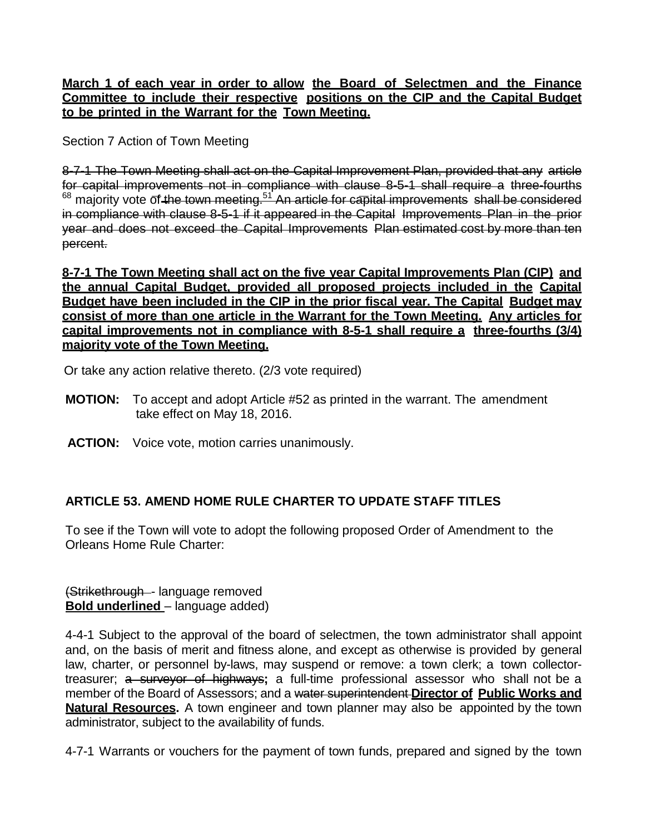### **March 1 of each year in order to allow the Board of Selectmen and the Finance Committee to include their respective positions on the CIP and the Capital Budget to be printed in the Warrant for the Town Meeting.**

Section 7 Action of Town Meeting

8-7-1 The Town Meeting shall act on the Capital Improvement Plan, provided that any article for capital improvements not in compliance with clause 8-5-1 shall require a three-fourths  $68$  majority vote of the town meeting.<sup>51</sup> An article for capital improvements shall be considered in compliance with clause 8-5-1 if it appeared in the Capital Improvements Plan in the prior year and does not exceed the Capital Improvements Plan estimated cost by more than ten percent.

**8-7-1 The Town Meeting shall act on the five year Capital Improvements Plan (CIP) and the annual Capital Budget, provided all proposed projects included in the Capital Budget have been included in the CIP in the prior fiscal year. The Capital Budget may consist of more than one article in the Warrant for the Town Meeting. Any articles for capital improvements not in compliance with 8-5-1 shall require a three-fourths (3/4) majority vote of the Town Meeting.**

Or take any action relative thereto. (2/3 vote required)

- **MOTION:** To accept and adopt Article #52 as printed in the warrant. The amendment take effect on May 18, 2016.
- **ACTION:** Voice vote, motion carries unanimously.

# **ARTICLE 53. AMEND HOME RULE CHARTER TO UPDATE STAFF TITLES**

To see if the Town will vote to adopt the following proposed Order of Amendment to the Orleans Home Rule Charter:

(Strikethrough - language removed **Bold underlined** – language added)

4-4-1 Subject to the approval of the board of selectmen, the town administrator shall appoint and, on the basis of merit and fitness alone, and except as otherwise is provided by general law, charter, or personnel by-laws, may suspend or remove: a town clerk; a town collectortreasurer; a surveyor of highways**;** a full-time professional assessor who shall not be a member of the Board of Assessors; and a water superintendent **Director of Public Works and Natural Resources.** A town engineer and town planner may also be appointed by the town administrator, subject to the availability of funds.

4-7-1 Warrants or vouchers for the payment of town funds, prepared and signed by the town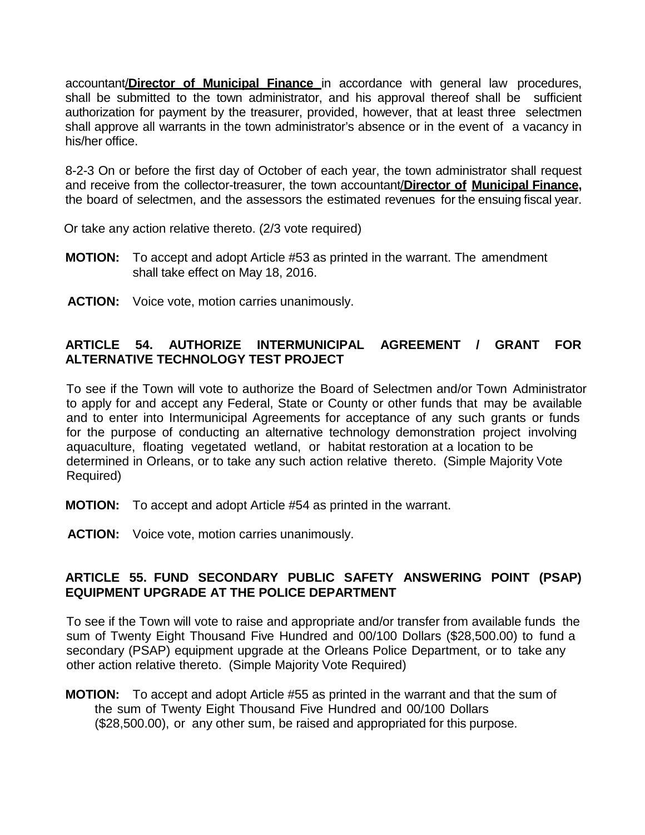accountant/**Director of Municipal Finance** in accordance with general law procedures, shall be submitted to the town administrator, and his approval thereof shall be sufficient authorization for payment by the treasurer, provided, however, that at least three selectmen shall approve all warrants in the town administrator's absence or in the event of a vacancy in his/her office.

8-2-3 On or before the first day of October of each year, the town administrator shall request and receive from the collector-treasurer, the town accountant/**Director of Municipal Finance,** the board of selectmen, and the assessors the estimated revenues for the ensuing fiscal year.

Or take any action relative thereto. (2/3 vote required)

- **MOTION:** To accept and adopt Article #53 as printed in the warrant. The amendment shall take effect on May 18, 2016.
- **ACTION:** Voice vote, motion carries unanimously.

## **ARTICLE 54. AUTHORIZE INTERMUNICIPAL AGREEMENT / GRANT FOR ALTERNATIVE TECHNOLOGY TEST PROJECT**

To see if the Town will vote to authorize the Board of Selectmen and/or Town Administrator to apply for and accept any Federal, State or County or other funds that may be available and to enter into Intermunicipal Agreements for acceptance of any such grants or funds for the purpose of conducting an alternative technology demonstration project involving aquaculture, floating vegetated wetland, or habitat restoration at a location to be determined in Orleans, or to take any such action relative thereto. (Simple Majority Vote Required)

- **MOTION:** To accept and adopt Article #54 as printed in the warrant.
- **ACTION:** Voice vote, motion carries unanimously.

### **ARTICLE 55. FUND SECONDARY PUBLIC SAFETY ANSWERING POINT (PSAP) EQUIPMENT UPGRADE AT THE POLICE DEPARTMENT**

To see if the Town will vote to raise and appropriate and/or transfer from available funds the sum of Twenty Eight Thousand Five Hundred and 00/100 Dollars (\$28,500.00) to fund a secondary (PSAP) equipment upgrade at the Orleans Police Department, or to take any other action relative thereto. (Simple Majority Vote Required)

**MOTION:** To accept and adopt Article #55 as printed in the warrant and that the sum of the sum of Twenty Eight Thousand Five Hundred and 00/100 Dollars (\$28,500.00), or any other sum, be raised and appropriated for this purpose.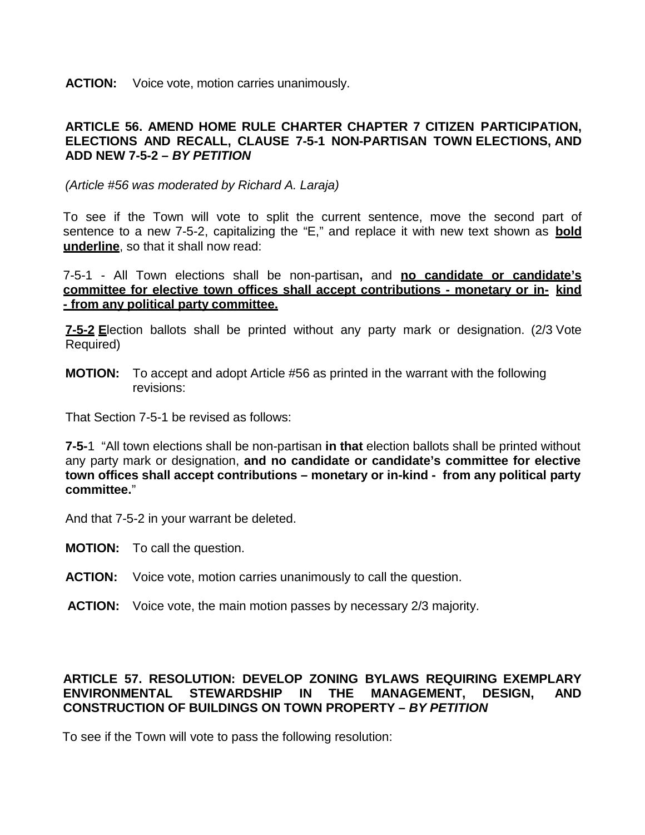**ACTION:** Voice vote, motion carries unanimously.

### **ARTICLE 56. AMEND HOME RULE CHARTER CHAPTER 7 CITIZEN PARTICIPATION, ELECTIONS AND RECALL, CLAUSE 7-5-1 NON-PARTISAN TOWN ELECTIONS, AND ADD NEW 7-5-2 –** *BY PETITION*

*(Article #56 was moderated by Richard A. Laraja)*

To see if the Town will vote to split the current sentence, move the second part of sentence to a new 7-5-2, capitalizing the "E," and replace it with new text shown as **bold underline**, so that it shall now read:

7-5-1 - All Town elections shall be non-partisan**,** and **no candidate or candidate's committee for elective town offices shall accept contributions - monetary or in- kind - from any political party committee.**

**7-5-2 E**lection ballots shall be printed without any party mark or designation. (2/3 Vote Required)

**MOTION:** To accept and adopt Article #56 as printed in the warrant with the following revisions:

That Section 7-5-1 be revised as follows:

**7-5-**1 "All town elections shall be non-partisan **in that** election ballots shall be printed without any party mark or designation, **and no candidate or candidate's committee for elective town offices shall accept contributions – monetary or in-kind - from any political party committee.**"

And that 7-5-2 in your warrant be deleted.

- **MOTION:** To call the question.
- **ACTION:** Voice vote, motion carries unanimously to call the question.
- **ACTION:** Voice vote, the main motion passes by necessary 2/3 majority.

## **ARTICLE 57. RESOLUTION: DEVELOP ZONING BYLAWS REQUIRING EXEMPLARY ENVIRONMENTAL STEWARDSHIP IN THE MANAGEMENT, DESIGN, AND CONSTRUCTION OF BUILDINGS ON TOWN PROPERTY –** *BY PETITION*

To see if the Town will vote to pass the following resolution: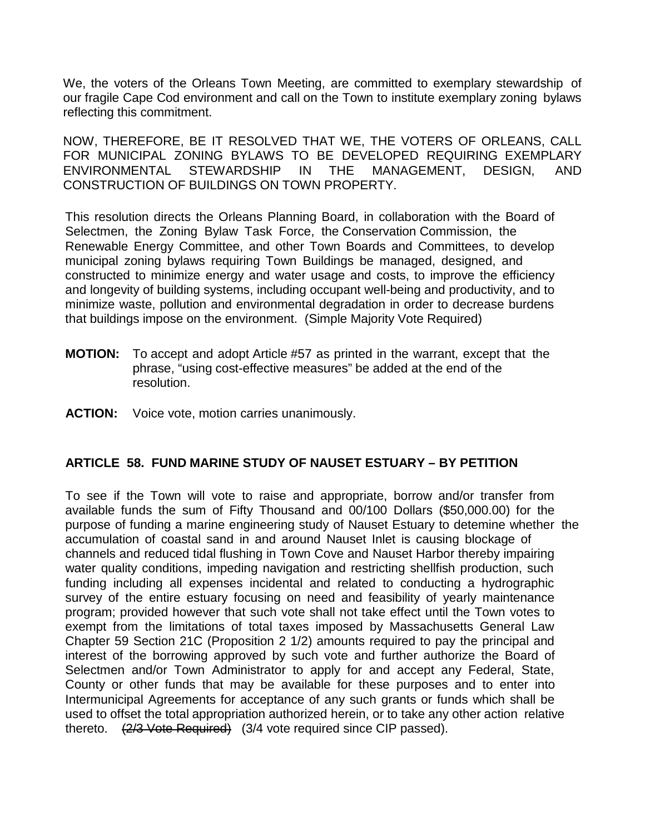We, the voters of the Orleans Town Meeting, are committed to exemplary stewardship of our fragile Cape Cod environment and call on the Town to institute exemplary zoning bylaws reflecting this commitment.

NOW, THEREFORE, BE IT RESOLVED THAT WE, THE VOTERS OF ORLEANS, CALL FOR MUNICIPAL ZONING BYLAWS TO BE DEVELOPED REQUIRING EXEMPLARY ENVIRONMENTAL STEWARDSHIP IN THE MANAGEMENT, DESIGN, AND CONSTRUCTION OF BUILDINGS ON TOWN PROPERTY.

This resolution directs the Orleans Planning Board, in collaboration with the Board of Selectmen, the Zoning Bylaw Task Force, the Conservation Commission, the Renewable Energy Committee, and other Town Boards and Committees, to develop municipal zoning bylaws requiring Town Buildings be managed, designed, and constructed to minimize energy and water usage and costs, to improve the efficiency and longevity of building systems, including occupant well-being and productivity, and to minimize waste, pollution and environmental degradation in order to decrease burdens that buildings impose on the environment. (Simple Majority Vote Required)

- **MOTION:** To accept and adopt Article #57 as printed in the warrant, except that the phrase, "using cost-effective measures" be added at the end of the resolution.
- **ACTION:** Voice vote, motion carries unanimously.

### **ARTICLE 58. FUND MARINE STUDY OF NAUSET ESTUARY – BY PETITION**

To see if the Town will vote to raise and appropriate, borrow and/or transfer from available funds the sum of Fifty Thousand and 00/100 Dollars (\$50,000.00) for the purpose of funding a marine engineering study of Nauset Estuary to detemine whether the accumulation of coastal sand in and around Nauset Inlet is causing blockage of channels and reduced tidal flushing in Town Cove and Nauset Harbor thereby impairing water quality conditions, impeding navigation and restricting shellfish production, such funding including all expenses incidental and related to conducting a hydrographic survey of the entire estuary focusing on need and feasibility of yearly maintenance program; provided however that such vote shall not take effect until the Town votes to exempt from the limitations of total taxes imposed by Massachusetts General Law Chapter 59 Section 21C (Proposition 2 1/2) amounts required to pay the principal and interest of the borrowing approved by such vote and further authorize the Board of Selectmen and/or Town Administrator to apply for and accept any Federal, State, County or other funds that may be available for these purposes and to enter into Intermunicipal Agreements for acceptance of any such grants or funds which shall be used to offset the total appropriation authorized herein, or to take any other action relative thereto. (2/3 Vote Required) (3/4 vote required since CIP passed).